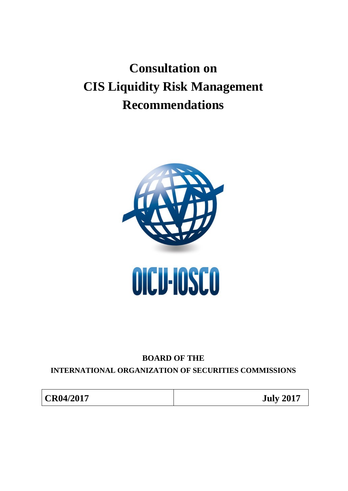# **Consultation on CIS Liquidity Risk Management Recommendations**



# **BOARD OF THE**

**INTERNATIONAL ORGANIZATION OF SECURITIES COMMISSIONS** 

**CR04/2017 July 2017**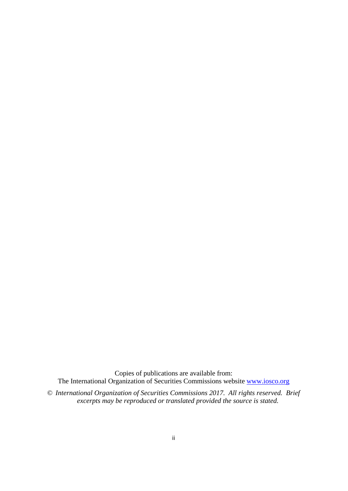Copies of publications are available from: The International Organization of Securities Commissions website [www.iosco.org](file://dc/common/IOSCO%20Publications/Template%20Documents/www.iosco.org)

© *International Organization of Securities Commissions 2017. All rights reserved. Brief excerpts may be reproduced or translated provided the source is stated.*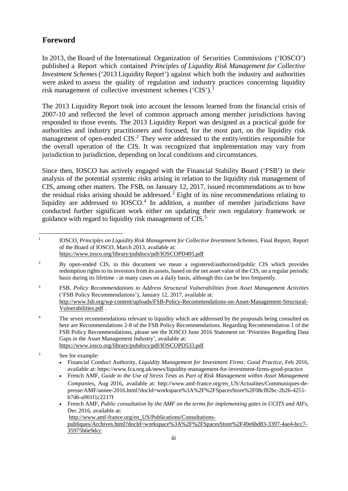### **Foreword**

In 2013, the Board of the International Organization of Securities Commissions ('IOSCO') published a Report which contained *Principles of Liquidity Risk Management for Collective Investment Schemes* ('2013 Liquidity Report') against which both the industry and authorities were asked to assess the quality of regulation and industry practices concerning liquidity risk management of collective investment schemes ('CIS').<sup>[1](#page-2-0)</sup>

The 2013 Liquidity Report took into account the lessons learned from the financial crisis of 2007-10 and reflected the level of common approach among member jurisdictions having responded to those events. The 2013 Liquidity Report was designed as a practical guide for authorities and industry practitioners and focused, for the most part, on the liquidity risk management of open-ended CIS.<sup>[2](#page-2-1)</sup> They were addressed to the entity/entities responsible for the overall operation of the CIS. It was recognized that implementation may vary from jurisdiction to jurisdiction, depending on local conditions and circumstances.

Since then, IOSCO has actively engaged with the Financial Stability Board ('FSB') in their analysis of the potential systemic risks arising in relation to the liquidity risk management of CIS, among other matters. The FSB, on January 12, 2017, issued recommendations as to how the residual risks arising should be addressed.<sup>[3](#page-2-2)</sup> Eight of its nine recommendations relating to liquidity are addressed to IOSCO.<sup>[4](#page-2-3)</sup> In addition, a number of member jurisdictions have conducted further significant work either on updating their own regulatory framework or guidance with regard to liquidity risk management of CIS.[5](#page-2-4)

<span id="page-2-0"></span> 1 IOSCO, *Principles on Liquidity Risk Management for Collective Investment Schemes*, Final Report, Report of the Board of IOSCO, March 2013, available at: <https://www.iosco.org/library/pubdocs/pdf/IOSCOPD405.pdf>

<span id="page-2-2"></span><sup>3</sup> FSB, *Policy Recommendations to Address Structural Vulnerabilities from Asset Management Activities* ('FSB Policy Recommendations'), January 12, 2017, available at: [http://www.fsb.org/wp-content/uploads/FSB-Policy-Recommendations-on-Asset-Management-Structural-](http://www.fsb.org/wp-content/uploads/FSB-Policy-Recommendations-on-Asset-Management-Structural-Vulnerabilities.pdf)[Vulnerabilities.pdf](http://www.fsb.org/wp-content/uploads/FSB-Policy-Recommendations-on-Asset-Management-Structural-Vulnerabilities.pdf) .

<span id="page-2-3"></span><sup>4</sup> The seven recommendations relevant to liquidity which are addressed by the proposals being consulted on here are Recommendations 2-8 of the FSB Policy Recommendations. Regarding Recommendation 1 of the FSB Policy Recommendations, please see the IOSCO June 2016 Statement on 'Priorities Regarding Data Gaps in the Asset Management Industry', available at: <https://www.iosco.org/library/pubdocs/pdf/IOSCOPD533.pdf>

• French AMF, *Public consultation by the AMF on the terms for implementing gates in UCITS and AIFs,*  Dec 2016, available at:

[http://www.amf-france.org/en\\_US/Publications/Consultations-](http://www.amf-france.org/en_US/Publications/Consultations-publiques/Archives.html?docId=workspace%3A%2F%2FSpacesStore%2F49e6bd83-3397-4ae4-bcc7-35975b6e9dcc)

[publiques/Archives.html?docId=workspace%3A%2F%2FSpacesStore%2F49e6bd83-3397-4ae4-bcc7-](http://www.amf-france.org/en_US/Publications/Consultations-publiques/Archives.html?docId=workspace%3A%2F%2FSpacesStore%2F49e6bd83-3397-4ae4-bcc7-35975b6e9dcc) [35975b6e9dcc](http://www.amf-france.org/en_US/Publications/Consultations-publiques/Archives.html?docId=workspace%3A%2F%2FSpacesStore%2F49e6bd83-3397-4ae4-bcc7-35975b6e9dcc) 

<span id="page-2-1"></span><sup>&</sup>lt;sup>2</sup> By open-ended CIS, in this document we mean a registered/authorised/public CIS which provides redemption rights to its investors from its assets, based on the net asset value of the CIS, on a regular periodic basis during its lifetime - in many cases on a daily basis, although this can be less frequently.

<span id="page-2-4"></span><sup>5</sup> See for example:

<sup>•</sup> Financial Conduct Authority, *Liquidity Management for Investment Firms: Good Practice*, Feb 2016, available at[: https://www.fca.org.uk/news/liquidity-management-for-investment-firms-good-practice](https://www.fca.org.uk/news/liquidity-management-for-investment-firms-good-practice)

<sup>•</sup> French AMF, *Guide to the Use of Stress Tests as Part of Risk Management within Asset Management Companies,* Aug 2016, available at: [http://www.amf-france.org/en\\_US/Actualites/Communiques-de](http://www.amf-france.org/en_US/Actualites/Communiques-de-presse/AMF/annee-2016.html?docId=workspace%3A%2F%2FSpacesStore%2F08cf82bc-2b26-4251-b7d6-a901f1c2217f)[presse/AMF/annee-2016.html?docId=workspace%3A%2F%2FSpacesStore%2F08cf82bc-2b26-4251](http://www.amf-france.org/en_US/Actualites/Communiques-de-presse/AMF/annee-2016.html?docId=workspace%3A%2F%2FSpacesStore%2F08cf82bc-2b26-4251-b7d6-a901f1c2217f) [b7d6-a901f1c2217f](http://www.amf-france.org/en_US/Actualites/Communiques-de-presse/AMF/annee-2016.html?docId=workspace%3A%2F%2FSpacesStore%2F08cf82bc-2b26-4251-b7d6-a901f1c2217f)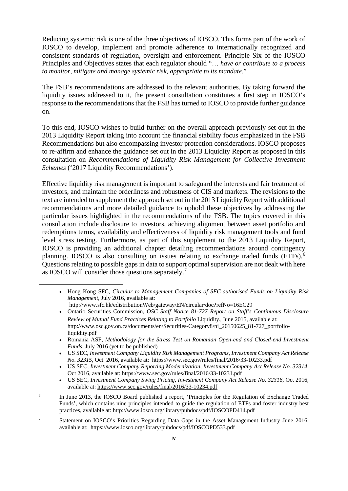Reducing systemic risk is one of the three objectives of IOSCO. This forms part of the work of IOSCO to develop, implement and promote adherence to internationally recognized and consistent standards of regulation, oversight and enforcement. Principle Six of the IOSCO Principles and Objectives states that each regulator should "… *have or contribute to a process to monitor, mitigate and manage systemic risk, appropriate to its mandate.*"

The FSB's recommendations are addressed to the relevant authorities. By taking forward the liquidity issues addressed to it, the present consultation constitutes a first step in IOSCO's response to the recommendations that the FSB has turned to IOSCO to provide further guidance on.

To this end, IOSCO wishes to build further on the overall approach previously set out in the 2013 Liquidity Report taking into account the financial stability focus emphasized in the FSB Recommendations but also encompassing investor protection considerations. IOSCO proposes to re-affirm and enhance the guidance set out in the 2013 Liquidity Report as proposed in this consultation on *Recommendations of Liquidity Risk Management for Collective Investment Schemes* ('2017 Liquidity Recommendations').

Effective liquidity risk management is important to safeguard the interests and fair treatment of investors, and maintain the orderliness and robustness of CIS and markets. The revisions to the text are intended to supplement the approach set out in the 2013 Liquidity Report with additional recommendations and more detailed guidance to uphold these objectives by addressing the particular issues highlighted in the recommendations of the FSB. The topics covered in this consultation include disclosure to investors, achieving alignment between asset portfolio and redemptions terms, availability and effectiveness of liquidity risk management tools and fund level stress testing. Furthermore, as part of this supplement to the 2013 Liquidity Report, IOSCO is providing an additional chapter detailing recommendations around contingency planning. IOSCO is also consulting on issues relating to exchange traded funds (ETFs).<sup>[6](#page-3-0)</sup> Questions relating to possible gaps in data to support optimal supervision are not dealt with here as IOSCO will consider those questions separately. [7](#page-3-1)

 $\overline{a}$ 

<sup>•</sup> Hong Kong SFC, *Circular to Management Companies of SFC-authorised Funds on Liquidity Risk Management*, July 2016, available at:

<http://www.sfc.hk/edistributionWeb/gateway/EN/circular/doc?refNo=16EC29>

<sup>•</sup> Ontario Securities Commission, *OSC Staff Notice 81-727 Report on Staff's Continuous Disclosure Review of Mutual Fund Practices Relating to Portfolio* Liquidity, June 2015, available at: [http://www.osc.gov.on.ca/documents/en/Securities-Category8/ni\\_20150625\\_81-727\\_portfolio](http://www.osc.gov.on.ca/documents/en/Securities-Category8/ni_20150625_81-727_portfolio-liquidity.pdf)[liquidity.pdf](http://www.osc.gov.on.ca/documents/en/Securities-Category8/ni_20150625_81-727_portfolio-liquidity.pdf) 

<sup>•</sup> Romania ASF, *Methodology for the Stress Test on Romanian Open-end and Closed-end Investment Funds,* July 2016 (yet to be published)

<sup>•</sup> US SEC, *Investment Company Liquidity Risk Management Programs, Investment Company Act Release No. 32315,* Oct. 2016, available at: <https://www.sec.gov/rules/final/2016/33-10233.pdf>

<sup>•</sup> US SEC, *Investment Company Reporting Modernization, Investment Company Act Release No. 32314,*  Oct 2016, available at[: https://www.sec.gov/rules/final/2016/33-10231.pdf](https://www.sec.gov/rules/final/2016/33-10231.pdf) 

<sup>•</sup> US SEC, *Investment Company Swing Pricing, Investment Company Act Release No. 32316,* Oct 2016, available at[: https://www.sec.gov/rules/final/2016/33-10234.pdf](https://www.sec.gov/rules/final/2016/33-10234.pdf)

<span id="page-3-0"></span><sup>&</sup>lt;sup>6</sup> In June 2013, the IOSCO Board published a report, 'Principles for the Regulation of Exchange Traded Funds', which contains nine principles intended to guide the regulation of ETFs and foster industry best practices, available at:<http://www.iosco.org/library/pubdocs/pdf/IOSCOPD414.pdf>

<span id="page-3-1"></span><sup>&</sup>lt;sup>7</sup> Statement on IOSCO's Priorities Regarding Data Gaps in the Asset Management Industry June 2016, available at: <https://www.iosco.org/library/pubdocs/pdf/IOSCOPD533.pdf>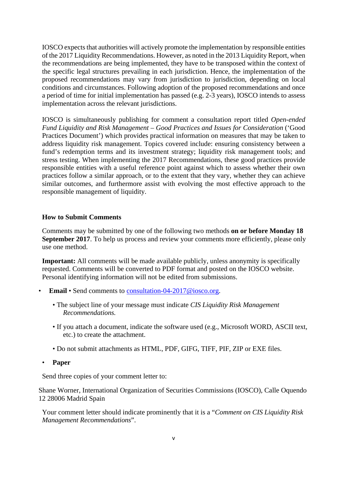IOSCO expects that authorities will actively promote the implementation by responsible entities of the 2017 Liquidity Recommendations. However, as noted in the 2013 Liquidity Report, when the recommendations are being implemented, they have to be transposed within the context of the specific legal structures prevailing in each jurisdiction. Hence, the implementation of the proposed recommendations may vary from jurisdiction to jurisdiction, depending on local conditions and circumstances. Following adoption of the proposed recommendations and once a period of time for initial implementation has passed (e.g. 2-3 years), IOSCO intends to assess implementation across the relevant jurisdictions.

IOSCO is simultaneously publishing for comment a consultation report titled *Open-ended Fund Liquidity and Risk Management – Good Practices and Issues for Consideration* ('Good Practices Document') which provides practical information on measures that may be taken to address liquidity risk management. Topics covered include: ensuring consistency between a fund's redemption terms and its investment strategy; liquidity risk management tools; and stress testing. When implementing the 2017 Recommendations, these good practices provide responsible entities with a useful reference point against which to assess whether their own practices follow a similar approach, or to the extent that they vary, whether they can achieve similar outcomes, and furthermore assist with evolving the most effective approach to the responsible management of liquidity.

#### **How to Submit Comments**

Comments may be submitted by one of the following two methods **on or before Monday 18 September 2017**. To help us process and review your comments more efficiently, please only use one method.

**Important:** All comments will be made available publicly, unless anonymity is specifically requested. Comments will be converted to PDF format and posted on the IOSCO website. Personal identifying information will not be edited from submissions.

- **Email •** Send comments to [consultation-04-2017@iosco.org.](mailto:consultation-04-2017@iosco.org)
	- The subject line of your message must indicate *CIS Liquidity Risk Management Recommendations.*
	- If you attach a document, indicate the software used (e.g., Microsoft WORD, ASCII text, etc.) to create the attachment.
	- Do not submit attachments as HTML, PDF, GIFG, TIFF, PIF, ZIP or EXE files.
- **Paper**

Send three copies of your comment letter to:

Shane Worner, International Organization of Securities Commissions (IOSCO), Calle Oquendo 12 28006 Madrid Spain

Your comment letter should indicate prominently that it is a "*Comment on CIS Liquidity Risk Management Recommendations*".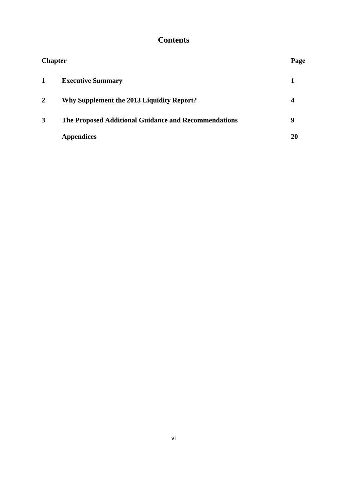# **Contents**

| <b>Chapter</b> |                                                      | Page |
|----------------|------------------------------------------------------|------|
| 1              | <b>Executive Summary</b>                             |      |
| $\overline{2}$ | <b>Why Supplement the 2013 Liquidity Report?</b>     | 4    |
| 3              | The Proposed Additional Guidance and Recommendations | 9    |
|                | <b>Appendices</b>                                    | 20   |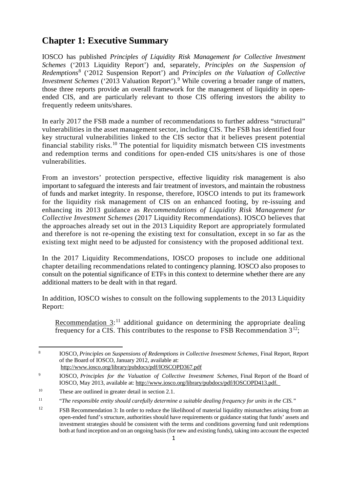# **Chapter 1: Executive Summary**

IOSCO has published *Principles of Liquidity Risk Management for Collective Investment Schemes* ('2013 Liquidity Report') and, separately, *Principles on the Suspension of Redemptions*[8](#page-6-0) ('2012 Suspension Report') and *Principles on the Valuation of Collective Investment Schemes* ('2013 Valuation Report'). [9](#page-6-1) While covering a broader range of matters, those three reports provide an overall framework for the management of liquidity in openended CIS, and are particularly relevant to those CIS offering investors the ability to frequently redeem units/shares.

In early 2017 the FSB made a number of recommendations to further address "structural" vulnerabilities in the asset management sector, including CIS. The FSB has identified four key structural vulnerabilities linked to the CIS sector that it believes present potential financial stability risks.<sup>[10](#page-6-2)</sup> The potential for liquidity mismatch between CIS investments and redemption terms and conditions for open-ended CIS units/shares is one of those vulnerabilities.

From an investors' protection perspective, effective liquidity risk management is also important to safeguard the interests and fair treatment of investors, and maintain the robustness of funds and market integrity. In response, therefore, IOSCO intends to put its framework for the liquidity risk management of CIS on an enhanced footing, by re-issuing and enhancing its 2013 guidance as *Recommendations of Liquidity Risk Management for Collective Investment Schemes* (2017 Liquidity Recommendations). IOSCO believes that the approaches already set out in the 2013 Liquidity Report are appropriately formulated and therefore is not re-opening the existing text for consultation, except in so far as the existing text might need to be adjusted for consistency with the proposed additional text.

In the 2017 Liquidity Recommendations, IOSCO proposes to include one additional chapter detailing recommendations related to contingency planning. IOSCO also proposes to consult on the potential significance of ETFs in this context to determine whether there are any additional matters to be dealt with in that regard.

In addition, IOSCO wishes to consult on the following supplements to the 2013 Liquidity Report:

Recommendation  $3$ <sup>[11](#page-6-3)</sup> additional guidance on determining the appropriate dealing frequency for a CIS. This contributes to the response to FSB Recommendation  $3^{12}$  $3^{12}$  $3^{12}$ .

**.** 

<span id="page-6-0"></span><sup>8</sup> IOSCO, *Principles on Suspensions of Redemptions in Collective Investment Schemes*, Final Report, Report of the Board of IOSCO, January 2012, available at: <http://www.iosco.org/library/pubdocs/pdf/IOSCOPD367.pdf>

<span id="page-6-1"></span><sup>9</sup> IOSCO, *Principles for the Valuation of Collective Investment Schemes,* Final Report of the Board of IOSCO, May 2013, available at: [http://www.iosco.org/library/pubdocs/pdf/IOSCOPD413.pdf.](http://www.iosco.org/library/pubdocs/pdf/IOSCOPD413.pdf)

<span id="page-6-2"></span><sup>&</sup>lt;sup>10</sup> These are outlined in greater detail in section 2.1.

<span id="page-6-3"></span><sup>11</sup> "*The responsible entity should carefully determine a suitable dealing frequency for units in the CIS."*

<span id="page-6-4"></span><sup>&</sup>lt;sup>12</sup> FSB Recommendation 3: In order to reduce the likelihood of material liquidity mismatches arising from an open-ended fund's structure, authorities should have requirements or guidance stating that funds' assets and investment strategies should be consistent with the terms and conditions governing fund unit redemptions both at fund inception and on an ongoing basis (for new and existing funds), taking into account the expected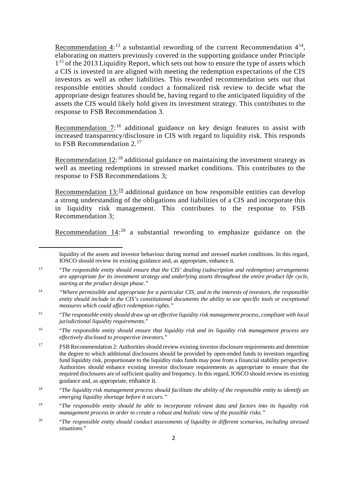Recommendation  $4$ <sup>:[13](#page-7-0)</sup> a substantial rewording of the current Recommendation  $4^{14}$  $4^{14}$  $4^{14}$ , elaborating on matters previously covered in the supporting guidance under Principle  $1<sup>15</sup>$  $1<sup>15</sup>$  $1<sup>15</sup>$  of the 2013 Liquidity Report, which sets out how to ensure the type of assets which a CIS is invested in are aligned with meeting the redemption expectations of the CIS investors as well as other liabilities. This reworded recommendation sets out that responsible entities should conduct a formalized risk review to decide what the appropriate design features should be, having regard to the anticipated liquidity of the assets the CIS would likely hold given its investment strategy. This contributes to the response to FSB Recommendation 3.

Recommendation 7:<sup>[16](#page-7-3)</sup> additional guidance on key design features to assist with increased transparency/disclosure in CIS with regard to liquidity risk. This responds to FSB Recommendation 2.<sup>[17](#page-7-4)</sup>

Recommendation  $12$ <sup>2</sup> additional guidance on maintaining the investment strategy as well as meeting redemptions in stressed market conditions. This contributes to the response to FSB Recommendations 3;

Recommendation  $13$ <sup>:[19](#page-7-6)</sup> additional guidance on how responsible entities can develop a strong understanding of the obligations and liabilities of a CIS and incorporate this in liquidity risk management. This contributes to the response to FSB Recommendation 3;

Recommendation  $14$ <sup>[20](#page-7-7)</sup> a substantial rewording to emphasize guidance on the

**.** 

liquidity of the assets and investor behaviour during normal and stressed market conditions. In this regard, IOSCO should review its existing guidance and, as appropriate, enhance it.

<span id="page-7-0"></span><sup>13</sup> "*The responsible entity should ensure that the CIS' dealing (subscription and redemption) arrangements are appropriate for its investment strategy and underlying assets throughout the entire product life cycle, starting at the product design phase."*

<span id="page-7-1"></span><sup>14</sup> *"Where permissible and appropriate for a particular CIS, and in the interests of investors, the responsible entity should include in the CIS's constitutional documents the ability to use specific tools or exceptional measures which could affect redemption rights."*

<span id="page-7-2"></span><sup>15 &</sup>quot;*The responsible entity should draw up an effective liquidity risk management process, compliant with local jurisdictional liquidity requirements.*"

<span id="page-7-3"></span><sup>16</sup> "*The responsible entity should ensure that liquidity risk and its liquidity risk management process are effectively disclosed to prospective investors*."

<span id="page-7-4"></span><sup>&</sup>lt;sup>17</sup> FSB Recommendation 2: Authorities should review existing investor disclosure requirements and determine the degree to which additional disclosures should be provided by open-ended funds to investors regarding fund liquidity risk, proportionate to the liquidity risks funds may pose from a financial stability perspective. Authorities should enhance existing investor disclosure requirements as appropriate to ensure that the required disclosures are of sufficient quality and frequency. In this regard, IOSCO should review its existing guidance and, as appropriate, enhance it.

<span id="page-7-5"></span><sup>18</sup> "*The liquidity risk management process should facilitate the ability of the responsible entity to identify an emerging liquidity shortage before it occurs."*

<span id="page-7-6"></span><sup>19</sup> "*The responsible entity should be able to incorporate relevant data and factors into its liquidity risk management process in order to create a robust and holistic view of the possible risks."*

<span id="page-7-7"></span><sup>20</sup> "*The responsible entity should conduct assessments of liquidity in different scenarios, including stressed situations.*"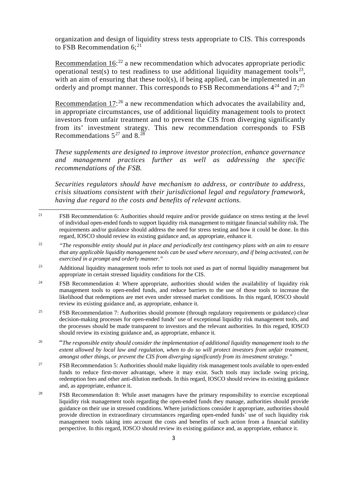organization and design of liquidity stress tests appropriate to CIS. This corresponds to FSB Recommendation  $6;^{21}$  $6;^{21}$  $6;^{21}$ 

Recommendation  $16$ <sup>[22](#page-8-1)</sup> a new recommendation which advocates appropriate periodic operational test(s) to test readiness to use additional liquidity management tools<sup>[23](#page-8-2)</sup>, with an aim of ensuring that these tool(s), if being applied, can be implemented in an orderly and prompt manner. This corresponds to FSB Recommendations  $4^{24}$  $4^{24}$  $4^{24}$  and  $7;^{25}$  $7;^{25}$  $7;^{25}$ 

Recommendation  $17$ <sup>[26](#page-8-5)</sup> a new recommendation which advocates the availability and, in appropriate circumstances, use of additional liquidity management tools to protect investors from unfair treatment and to prevent the CIS from diverging significantly from its' investment strategy. This new recommendation corresponds to FSB Recommendations  $5^{27}$  $5^{27}$  $5^{27}$  and  $8.^{28}$  $8.^{28}$  $8.^{28}$ 

*These supplements are designed to improve investor protection, enhance governance and management practices further as well as addressing the specific recommendations of the FSB.*

*Securities regulators should have mechanism to address, or contribute to address, crisis situations consistent with their jurisdictional legal and regulatory framework, having due regard to the costs and benefits of relevant actions.*

<span id="page-8-0"></span> $21$ <sup>21</sup> FSB Recommendation 6: Authorities should require and/or provide guidance on stress testing at the level of individual open-ended funds to support liquidity risk management to mitigate financial stability risk. The requirements and/or guidance should address the need for stress testing and how it could be done. In this regard, IOSCO should review its existing guidance and, as appropriate, enhance it.

<span id="page-8-1"></span><sup>22</sup> *"The responsible entity should put in place and periodically test contingency plans with an aim to ensure that any applicable liquidity management tools can be used where necessary, and if being activated, can be exercised in a prompt and orderly manner."* 

<span id="page-8-2"></span><sup>&</sup>lt;sup>23</sup> Additional liquidity management tools refer to tools not used as part of normal liquidity management but appropriate in certain stressed liquidity conditions for the CIS.

<span id="page-8-3"></span><sup>&</sup>lt;sup>24</sup> FSB Recommendation 4: Where appropriate, authorities should widen the availability of liquidity risk management tools to open-ended funds, and reduce barriers to the use of those tools to increase the likelihood that redemptions are met even under stressed market conditions. In this regard, IOSCO should review its existing guidance and, as appropriate, enhance it.

<span id="page-8-4"></span><sup>&</sup>lt;sup>25</sup> FSB Recommendation 7: Authorities should promote (through regulatory requirements or guidance) clear decision-making processes for open-ended funds' use of exceptional liquidity risk management tools, and the processes should be made transparent to investors and the relevant authorities. In this regard, IOSCO should review its existing guidance and, as appropriate, enhance it.

<span id="page-8-5"></span><sup>26</sup> "*The responsible entity should consider the implementation of additional liquidity management tools to the extent allowed by local law and regulation, when to do so will protect investors from unfair treatment, amongst other things, or prevent the CIS from diverging significantly from its investment strategy."*

<span id="page-8-6"></span><sup>&</sup>lt;sup>27</sup> FSB Recommendation 5: Authorities should make liquidity risk management tools available to open-ended funds to reduce first-mover advantage, where it may exist. Such tools may include swing pricing, redemption fees and other anti-dilution methods. In this regard, IOSCO should review its existing guidance and, as appropriate, enhance it.

<span id="page-8-7"></span><sup>&</sup>lt;sup>28</sup> FSB Recommendation 8: While asset managers have the primary responsibility to exercise exceptional liquidity risk management tools regarding the open-ended funds they manage, authorities should provide guidance on their use in stressed conditions. Where jurisdictions consider it appropriate, authorities should provide direction in extraordinary circumstances regarding open-ended funds' use of such liquidity risk management tools taking into account the costs and benefits of such action from a financial stability perspective. In this regard, IOSCO should review its existing guidance and, as appropriate, enhance it.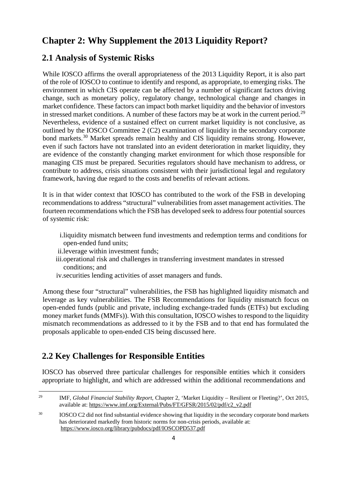# **Chapter 2: Why Supplement the 2013 Liquidity Report?**

# **2.1 Analysis of Systemic Risks**

While IOSCO affirms the overall appropriateness of the 2013 Liquidity Report, it is also part of the role of IOSCO to continue to identify and respond, as appropriate, to emerging risks. The environment in which CIS operate can be affected by a number of significant factors driving change, such as monetary policy, regulatory change, technological change and changes in market confidence. These factors can impact both market liquidity and the behavior of investors in stressed market conditions. A number of these factors may be at work in the current period.<sup>[29](#page-9-0)</sup> Nevertheless, evidence of a sustained effect on current market liquidity is not conclusive, as outlined by the IOSCO Committee 2 (C2) examination of liquidity in the secondary corporate bond markets.<sup>[30](#page-9-1)</sup> Market spreads remain healthy and CIS liquidity remains strong. However, even if such factors have not translated into an evident deterioration in market liquidity, they are evidence of the constantly changing market environment for which those responsible for managing CIS must be prepared. Securities regulators should have mechanism to address, or contribute to address, crisis situations consistent with their jurisdictional legal and regulatory framework, having due regard to the costs and benefits of relevant actions.

It is in that wider context that IOSCO has contributed to the work of the FSB in developing recommendations to address "structural" vulnerabilities from asset management activities. The fourteen recommendations which the FSB has developed seek to address four potential sources of systemic risk:

- i.liquidity mismatch between fund investments and redemption terms and conditions for open-ended fund units;
- ii.leverage within investment funds;
- iii.operational risk and challenges in transferring investment mandates in stressed conditions; and
- iv.securities lending activities of asset managers and funds.

Among these four "structural" vulnerabilities, the FSB has highlighted liquidity mismatch and leverage as key vulnerabilities. The FSB Recommendations for liquidity mismatch focus on open-ended funds (public and private, including exchange-traded funds (ETFs) but excluding money market funds (MMFs)). With this consultation, IOSCO wishes to respond to the liquidity mismatch recommendations as addressed to it by the FSB and to that end has formulated the proposals applicable to open-ended CIS being discussed here.

# **2.2 Key Challenges for Responsible Entities**

IOSCO has observed three particular challenges for responsible entities which it considers appropriate to highlight, and which are addressed within the additional recommendations and

<span id="page-9-0"></span><sup>29</sup> <sup>29</sup> IMF, *Global Financial Stability Report*, Chapter 2, 'Market Liquidity – Resilient or Fleeting?', Oct 2015, available at[: https://www.imf.org/External/Pubs/FT/GFSR/2015/02/pdf/c2\\_v2.pdf](https://www.imf.org/External/Pubs/FT/GFSR/2015/02/pdf/c2_v2.pdf)

<span id="page-9-1"></span><sup>&</sup>lt;sup>30</sup> IOSCO C2 did not find substantial evidence showing that liquidity in the secondary corporate bond markets has deteriorated markedly from historic norms for non-crisis periods, available at: <https://www.iosco.org/library/pubdocs/pdf/IOSCOPD537.pdf>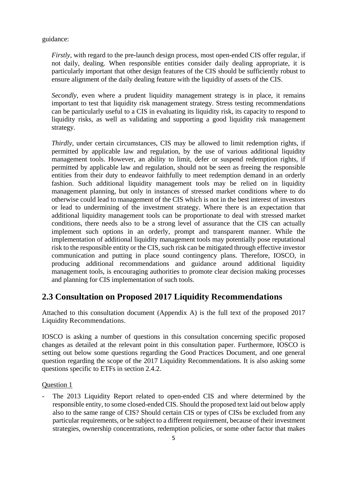guidance:

*Firstly*, with regard to the pre-launch design process, most open-ended CIS offer regular, if not daily, dealing. When responsible entities consider daily dealing appropriate, it is particularly important that other design features of the CIS should be sufficiently robust to ensure alignment of the daily dealing feature with the liquidity of assets of the CIS.

*Secondly*, even where a prudent liquidity management strategy is in place, it remains important to test that liquidity risk management strategy. Stress testing recommendations can be particularly useful to a CIS in evaluating its liquidity risk, its capacity to respond to liquidity risks, as well as validating and supporting a good liquidity risk management strategy.

*Thirdly*, under certain circumstances, CIS may be allowed to limit redemption rights, if permitted by applicable law and regulation, by the use of various additional liquidity management tools. However, an ability to limit, defer or suspend redemption rights, if permitted by applicable law and regulation, should not be seen as freeing the responsible entities from their duty to endeavor faithfully to meet redemption demand in an orderly fashion. Such additional liquidity management tools may be relied on in liquidity management planning, but only in instances of stressed market conditions where to do otherwise could lead to management of the CIS which is not in the best interest of investors or lead to undermining of the investment strategy. Where there is an expectation that additional liquidity management tools can be proportionate to deal with stressed market conditions, there needs also to be a strong level of assurance that the CIS can actually implement such options in an orderly, prompt and transparent manner. While the implementation of additional liquidity management tools may potentially pose reputational risk to the responsible entity or the CIS, such risk can be mitigated through effective investor communication and putting in place sound contingency plans. Therefore, IOSCO, in producing additional recommendations and guidance around additional liquidity management tools, is encouraging authorities to promote clear decision making processes and planning for CIS implementation of such tools.

### **2.3 Consultation on Proposed 2017 Liquidity Recommendations**

Attached to this consultation document (Appendix A) is the full text of the proposed 2017 Liquidity Recommendations.

IOSCO is asking a number of questions in this consultation concerning specific proposed changes as detailed at the relevant point in this consultation paper. Furthermore, IOSCO is setting out below some questions regarding the Good Practices Document, and one general question regarding the scope of the 2017 Liquidity Recommendations. It is also asking some questions specific to ETFs in section 2.4.2.

Question 1

The 2013 Liquidity Report related to open-ended CIS and where determined by the responsible entity, to some closed-ended CIS. Should the proposed text laid out below apply also to the same range of CIS? Should certain CIS or types of CISs be excluded from any particular requirements, or be subject to a different requirement, because of their investment strategies, ownership concentrations, redemption policies, or some other factor that makes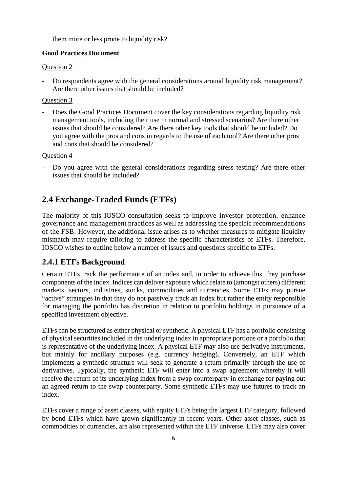them more or less prone to liquidity risk?

#### **Good Practices Document**

#### Question 2

- Do respondents agree with the general considerations around liquidity risk management? Are there other issues that should be included?

### Question 3

Does the Good Practices Document cover the key considerations regarding liquidity risk management tools, including their use in normal and stressed scenarios? Are there other issues that should be considered? Are there other key tools that should be included? Do you agree with the pros and cons in regards to the use of each tool? Are there other pros and cons that should be considered?

### Question 4

- Do you agree with the general considerations regarding stress testing? Are there other issues that should be included?

### **2.4 Exchange-Traded Funds (ETFs)**

The majority of this IOSCO consultation seeks to improve investor protection, enhance governance and management practices as well as addressing the specific recommendations of the FSB. However, the additional issue arises as to whether measures to mitigate liquidity mismatch may require tailoring to address the specific characteristics of ETFs. Therefore, IOSCO wishes to outline below a number of issues and questions specific to ETFs.

### **2.4.1 ETFs Background**

Certain ETFs track the performance of an index and, in order to achieve this, they purchase components of the index. Indices can deliver exposure which relate to (amongst others) different markets, sectors, industries, stocks, commodities and currencies. Some ETFs may pursue "active" strategies in that they do not passively track an index but rather the entity responsible for managing the portfolio has discretion in relation to portfolio holdings in pursuance of a specified investment objective.

ETFs can be structured as either physical or synthetic. A physical ETF has a portfolio consisting of physical securities included in the underlying index in appropriate portions or a portfolio that is representative of the underlying index. A physical ETF may also use derivative instruments, but mainly for ancillary purposes (e.g. currency hedging). Conversely, an ETF which implements a synthetic structure will seek to generate a return primarily through the use of derivatives. Typically, the synthetic ETF will enter into a swap agreement whereby it will receive the return of its underlying index from a swap counterparty in exchange for paying out an agreed return to the swap counterparty. Some synthetic ETFs may use futures to track an index.

ETFs cover a range of asset classes, with equity ETFs being the largest ETF category, followed by bond ETFs which have grown significantly in recent years. Other asset classes, such as commodities or currencies, are also represented within the ETF universe. ETFs may also cover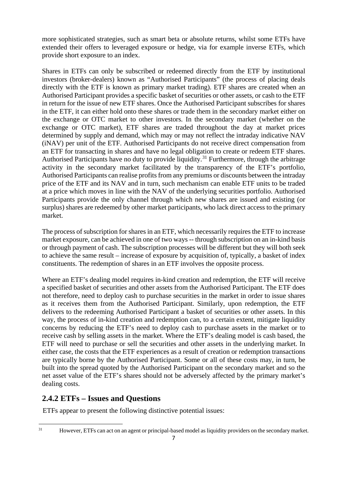more sophisticated strategies, such as smart beta or absolute returns, whilst some ETFs have extended their offers to leveraged exposure or hedge, via for example inverse ETFs, which provide short exposure to an index.

Shares in ETFs can only be subscribed or redeemed directly from the ETF by institutional investors (broker-dealers) known as "Authorised Participants" (the process of placing deals directly with the ETF is known as primary market trading). ETF shares are created when an Authorised Participant provides a specific basket of securities or other assets, or cash to the ETF in return for the issue of new ETF shares. Once the Authorised Participant subscribes for shares in the ETF, it can either hold onto these shares or trade them in the secondary market either on the exchange or OTC market to other investors. In the secondary market (whether on the exchange or OTC market), ETF shares are traded throughout the day at market prices determined by supply and demand, which may or may not reflect the intraday indicative NAV (iNAV) per unit of the ETF. Authorised Participants do not receive direct compensation from an ETF for transacting in shares and have no legal obligation to create or redeem ETF shares. Authorised Participants have no duty to provide liquidity.<sup>[31](#page-12-0)</sup> Furthermore, through the arbitrage activity in the secondary market facilitated by the transparency of the ETF's portfolio, Authorised Participants can realise profits from any premiums or discounts between the intraday price of the ETF and its NAV and in turn, such mechanism can enable ETF units to be traded at a price which moves in line with the NAV of the underlying securities portfolio. Authorised Participants provide the only channel through which new shares are issued and existing (or surplus) shares are redeemed by other market participants, who lack direct access to the primary market.

The process of subscription for shares in an ETF, which necessarily requires the ETF to increase market exposure, can be achieved in one of two ways -- through subscription on an in-kind basis or through payment of cash. The subscription processes will be different but they will both seek to achieve the same result – increase of exposure by acquisition of, typically, a basket of index constituents. The redemption of shares in an ETF involves the opposite process.

Where an ETF's dealing model requires in-kind creation and redemption, the ETF will receive a specified basket of securities and other assets from the Authorised Participant. The ETF does not therefore, need to deploy cash to purchase securities in the market in order to issue shares as it receives them from the Authorised Participant. Similarly, upon redemption, the ETF delivers to the redeeming Authorised Participant a basket of securities or other assets. In this way, the process of in-kind creation and redemption can, to a certain extent, mitigate liquidity concerns by reducing the ETF's need to deploy cash to purchase assets in the market or to receive cash by selling assets in the market. Where the ETF's dealing model is cash based, the ETF will need to purchase or sell the securities and other assets in the underlying market. In either case, the costs that the ETF experiences as a result of creation or redemption transactions are typically borne by the Authorised Participant. Some or all of these costs may, in turn, be built into the spread quoted by the Authorised Participant on the secondary market and so the net asset value of the ETF's shares should not be adversely affected by the primary market's dealing costs.

### **2.4.2 ETFs – Issues and Questions**

 $\overline{a}$ 

ETFs appear to present the following distinctive potential issues:

<span id="page-12-0"></span><sup>&</sup>lt;sup>31</sup> However, ETFs can act on an agent or principal-based model as liquidity providers on the secondary market.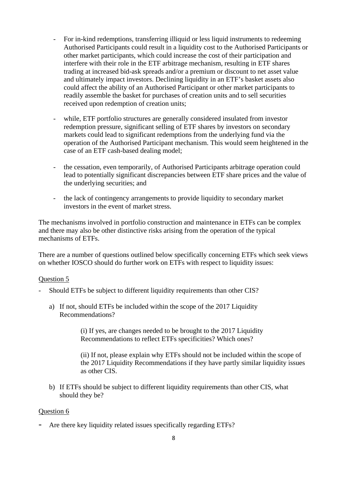- For in-kind redemptions, transferring illiquid or less liquid instruments to redeeming Authorised Participants could result in a liquidity cost to the Authorised Participants or other market participants, which could increase the cost of their participation and interfere with their role in the ETF arbitrage mechanism, resulting in ETF shares trading at increased bid-ask spreads and/or a premium or discount to net asset value and ultimately impact investors. Declining liquidity in an ETF's basket assets also could affect the ability of an Authorised Participant or other market participants to readily assemble the basket for purchases of creation units and to sell securities received upon redemption of creation units;
- while, ETF portfolio structures are generally considered insulated from investor redemption pressure, significant selling of ETF shares by investors on secondary markets could lead to significant redemptions from the underlying fund via the operation of the Authorised Participant mechanism. This would seem heightened in the case of an ETF cash-based dealing model;
- the cessation, even temporarily, of Authorised Participants arbitrage operation could lead to potentially significant discrepancies between ETF share prices and the value of the underlying securities; and
- the lack of contingency arrangements to provide liquidity to secondary market investors in the event of market stress.

The mechanisms involved in portfolio construction and maintenance in ETFs can be complex and there may also be other distinctive risks arising from the operation of the typical mechanisms of ETFs.

There are a number of questions outlined below specifically concerning ETFs which seek views on whether IOSCO should do further work on ETFs with respect to liquidity issues:

### Question 5

- Should ETFs be subject to different liquidity requirements than other CIS?
	- a) If not, should ETFs be included within the scope of the 2017 Liquidity Recommendations?

(i) If yes, are changes needed to be brought to the 2017 Liquidity Recommendations to reflect ETFs specificities? Which ones?

(ii) If not, please explain why ETFs should not be included within the scope of the 2017 Liquidity Recommendations if they have partly similar liquidity issues as other CIS.

b) If ETFs should be subject to different liquidity requirements than other CIS, what should they be?

### Question 6

- Are there key liquidity related issues specifically regarding ETFs?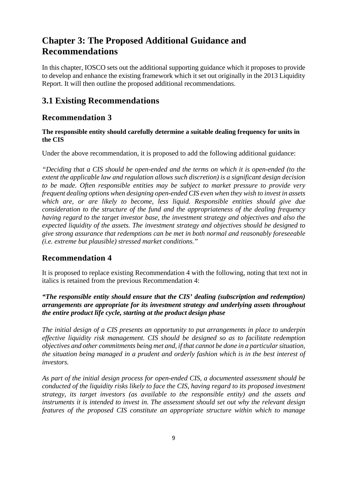# **Chapter 3: The Proposed Additional Guidance and Recommendations**

In this chapter, IOSCO sets out the additional supporting guidance which it proposes to provide to develop and enhance the existing framework which it set out originally in the 2013 Liquidity Report. It will then outline the proposed additional recommendations.

### **3.1 Existing Recommendations**

### **Recommendation 3**

### **The responsible entity should carefully determine a suitable dealing frequency for units in the CIS**

Under the above recommendation, it is proposed to add the following additional guidance:

*"Deciding that a CIS should be open-ended and the terms on which it is open-ended (to the extent the applicable law and regulation allows such discretion) is a significant design decision to be made. Often responsible entities may be subject to market pressure to provide very frequent dealing options when designing open-ended CIS even when they wish to invest in assets which are, or are likely to become, less liquid. Responsible entities should give due consideration to the structure of the fund and the appropriateness of the dealing frequency having regard to the target investor base, the investment strategy and objectives and also the expected liquidity of the assets. The investment strategy and objectives should be designed to give strong assurance that redemptions can be met in both normal and reasonably foreseeable (i.e. extreme but plausible) stressed market conditions."*

### **Recommendation 4**

It is proposed to replace existing Recommendation 4 with the following, noting that text not in italics is retained from the previous Recommendation 4:

### *"The responsible entity should ensure that the CIS' dealing (subscription and redemption) arrangements are appropriate for its investment strategy and underlying assets throughout the entire product life cycle, starting at the product design phase*

*The initial design of a CIS presents an opportunity to put arrangements in place to underpin effective liquidity risk management. CIS should be designed so as to facilitate redemption objectives and other commitments being met and, if that cannot be done in a particular situation, the situation being managed in a prudent and orderly fashion which is in the best interest of investors.*

*As part of the initial design process for open-ended CIS, a documented assessment should be conducted of the liquidity risks likely to face the CIS, having regard to its proposed investment strategy, its target investors (as available to the responsible entity) and the assets and instruments it is intended to invest in. The assessment should set out why the relevant design features of the proposed CIS constitute an appropriate structure within which to manage*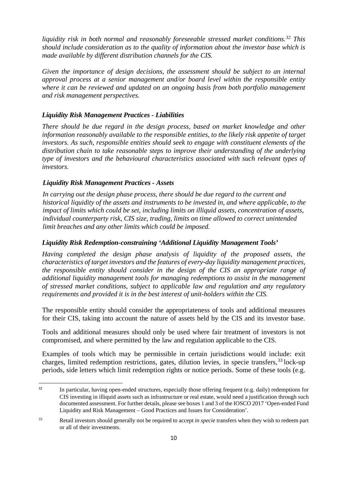*liquidity risk in both normal and reasonably foreseeable stressed market conditions.[32](#page-15-0) This should include consideration as to the quality of information about the investor base which is made available by different distribution channels for the CIS.*

*Given the importance of design decisions, the assessment should be subject to an internal approval process at a senior management and/or board level within the responsible entity where it can be reviewed and updated on an ongoing basis from both portfolio management and risk management perspectives.* 

#### *Liquidity Risk Management Practices - Liabilities*

*There should be due regard in the design process, based on market knowledge and other information reasonably available to the responsible entities, to the likely risk appetite of target investors. As such, responsible entities should seek to engage with constituent elements of the distribution chain to take reasonable steps to improve their understanding of the underlying type of investors and the behavioural characteristics associated with such relevant types of investors.* 

#### *Liquidity Risk Management Practices - Assets*

*In carrying out the design phase process, there should be due regard to the current and historical liquidity of the assets and instruments to be invested in, and where applicable, to the impact of limits which could be set, including limits on illiquid assets, concentration of assets, individual counterparty risk, CIS size, trading, limits on time allowed to correct unintended limit breaches and any other limits which could be imposed.*

#### *Liquidity Risk Redemption-constraining 'Additional Liquidity Management Tools'*

*Having completed the design phase analysis of liquidity of the proposed assets, the characteristics of target investors and the features of every-day liquidity management practices, the responsible entity should consider in the design of the CIS an appropriate range of additional liquidity management tools for managing redemptions to assist in the management of stressed market conditions, subject to applicable law and regulation and any regulatory requirements and provided it is in the best interest of unit-holders within the CIS.*

The responsible entity should consider the appropriateness of tools and additional measures for their CIS, taking into account the nature of assets held by the CIS and its investor base.

Tools and additional measures should only be used where fair treatment of investors is not compromised, and where permitted by the law and regulation applicable to the CIS.

Examples of tools which may be permissible in certain jurisdictions would include: exit charges, limited redemption restrictions, gates, dilution levies, in specie transfers, <sup>[33](#page-15-1)</sup> lock-up periods, side letters which limit redemption rights or notice periods. Some of these tools (e.g.

<span id="page-15-0"></span><sup>&</sup>lt;sup>32</sup> In particular, having open-ended structures, especially those offering frequent (e.g. daily) redemptions for CIS investing in illiquid assets such as infrastructure or real estate, would need a justification through such documented assessment. For further details, please see boxes 1 and 3 of the IOSCO 2017 'Open-ended Fund Liquidity and Risk Management – Good Practices and Issues for Consideration'.

<span id="page-15-1"></span><sup>33</sup> Retail investors should generally not be required to accept *in specie* transfers when they wish to redeem part or all of their investments.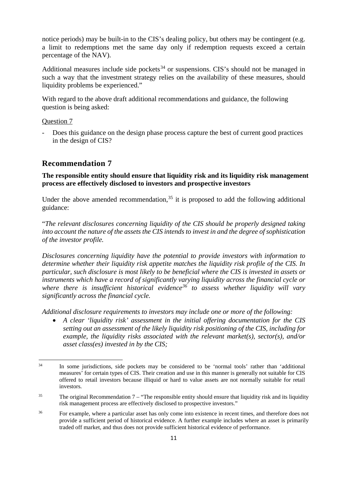notice periods) may be built-in to the CIS's dealing policy, but others may be contingent (e.g. a limit to redemptions met the same day only if redemption requests exceed a certain percentage of the NAV).

Additional measures include side pockets<sup>[34](#page-16-0)</sup> or suspensions. CIS's should not be managed in such a way that the investment strategy relies on the availability of these measures, should liquidity problems be experienced."

With regard to the above draft additional recommendations and guidance, the following question is being asked:

### Question 7

Does this guidance on the design phase process capture the best of current good practices in the design of CIS?

### **Recommendation 7**

### **The responsible entity should ensure that liquidity risk and its liquidity risk management process are effectively disclosed to investors and prospective investors**

Under the above amended recommendation, $35$  it is proposed to add the following additional guidance:

"*The relevant disclosures concerning liquidity of the CIS should be properly designed taking into account the nature of the assets the CIS intends to invest in and the degree of sophistication of the investor profile.* 

*Disclosures concerning liquidity have the potential to provide investors with information to determine whether their liquidity risk appetite matches the liquidity risk profile of the CIS. In particular, such disclosure is most likely to be beneficial where the CIS is invested in assets or instruments which have a record of significantly varying liquidity across the financial cycle or where there is insufficient historical evidence[36](#page-16-2) to assess whether liquidity will vary significantly across the financial cycle.*

*Additional disclosure requirements to investors may include one or more of the following:*

• *A clear 'liquidity risk' assessment in the initial offering documentation for the CIS setting out an assessment of the likely liquidity risk positioning of the CIS, including for example, the liquidity risks associated with the relevant market(s), sector(s), and/or asset class(es) invested in by the CIS;*

<span id="page-16-0"></span>**<sup>.</sup>** <sup>34</sup> In some jurisdictions, side pockets may be considered to be 'normal tools' rather than 'additional measures' for certain types of CIS. Their creation and use in this manner is generally not suitable for CIS offered to retail investors because illiquid or hard to value assets are not normally suitable for retail investors.

<span id="page-16-1"></span> $35$  The original Recommendation  $7 -$  "The responsible entity should ensure that liquidity risk and its liquidity risk management process are effectively disclosed to prospective investors."

<span id="page-16-2"></span><sup>&</sup>lt;sup>36</sup> For example, where a particular asset has only come into existence in recent times, and therefore does not provide a sufficient period of historical evidence. A further example includes where an asset is primarily traded off market, and thus does not provide sufficient historical evidence of performance.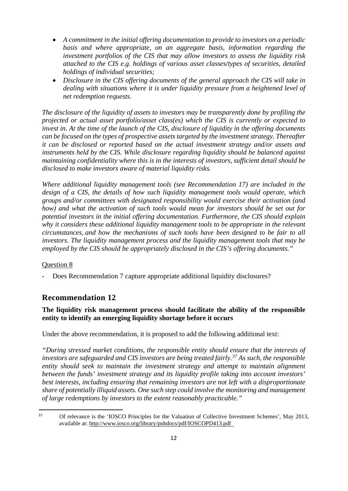- *A commitment in the initial offering documentation to provide to investors on a periodic basis and where appropriate, on an aggregate basis, information regarding the investment portfolios of the CIS that may allow investors to assess the liquidity risk attached to the CIS e.g. holdings of various asset classes/types of securities, detailed holdings of individual securities;*
- *Disclosure in the CIS offering documents of the general approach the CIS will take in dealing with situations where it is under liquidity pressure from a heightened level of net redemption requests.*

*The disclosure of the liquidity of assets to investors may be transparently done by profiling the projected or actual asset portfolio/asset class(es) which the CIS is currently or expected to invest in. At the time of the launch of the CIS, disclosure of liquidity in the offering documents can be focused on the types of prospective assets targeted by the investment strategy. Thereafter it can be disclosed or reported based on the actual investment strategy and/or assets and instruments held by the CIS. While disclosure regarding liquidity should be balanced against maintaining confidentiality where this is in the interests of investors, sufficient detail should be disclosed to make investors aware of material liquidity risks.* 

*Where additional liquidity management tools (see Recommendation 17) are included in the design of a CIS, the details of how such liquidity management tools would operate, which groups and/or committees with designated responsibility would exercise their activation (and how) and what the activation of such tools would mean for investors should be set out for potential investors in the initial offering documentation. Furthermore, the CIS should explain why it considers these additional liquidity management tools to be appropriate in the relevant circumstances, and how the mechanisms of such tools have been designed to be fair to all investors. The liquidity management process and the liquidity management tools that may be employed by the CIS should be appropriately disclosed in the CIS's offering documents."*

### Question 8

- Does Recommendation 7 capture appropriate additional liquidity disclosures?

### **Recommendation 12**

### **The liquidity risk management process should facilitate the ability of the responsible entity to identify an emerging liquidity shortage before it occurs**

Under the above recommendation, it is proposed to add the following additional text:

*"During stressed market conditions, the responsible entity should ensure that the interests of investors are safeguarded and CIS investors are being treated fairly.[37](#page-17-0) As such, the responsible entity should seek to maintain the investment strategy and attempt to maintain alignment between the funds' investment strategy and its liquidity profile taking into account investors' best interests, including ensuring that remaining investors are not left with a disproportionate share of potentially illiquid assets. One such step could involve the monitoring and management of large redemptions by investors to the extent reasonably practicable."*

<span id="page-17-0"></span><sup>&</sup>lt;sup>37</sup> Of relevance is the 'IOSCO Principles for the Valuation of Collective Investment Schemes', May 2013, available at[: http://www.iosco.org/library/pubdocs/pdf/IOSCOPD413.pdf](http://www.iosco.org/library/pubdocs/pdf/IOSCOPD413.pdf)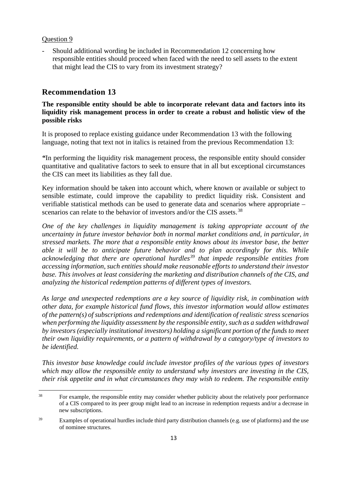#### Question 9

Should additional wording be included in Recommendation 12 concerning how responsible entities should proceed when faced with the need to sell assets to the extent that might lead the CIS to vary from its investment strategy?

### **Recommendation 13**

### **The responsible entity should be able to incorporate relevant data and factors into its liquidity risk management process in order to create a robust and holistic view of the possible risks**

It is proposed to replace existing guidance under Recommendation 13 with the following language, noting that text not in italics is retained from the previous Recommendation 13:

*"*In performing the liquidity risk management process, the responsible entity should consider quantitative and qualitative factors to seek to ensure that in all but exceptional circumstances the CIS can meet its liabilities as they fall due.

Key information should be taken into account which, where known or available or subject to sensible estimate, could improve the capability to predict liquidity risk. Consistent and verifiable statistical methods can be used to generate data and scenarios where appropriate – scenarios can relate to the behavior of investors and/or the CIS assets.<sup>[38](#page-18-0)</sup>

*One of the key challenges in liquidity management is taking appropriate account of the uncertainty in future investor behavior both in normal market conditions and, in particular, in stressed markets. The more that a responsible entity knows about its investor base, the better able it will be to anticipate future behavior and to plan accordingly for this. While acknowledging that there are operational hurdles[39](#page-18-1) that impede responsible entities from accessing information, such entities should make reasonable efforts to understand their investor base. This involves at least considering the marketing and distribution channels of the CIS, and analyzing the historical redemption patterns of different types of investors.* 

*As large and unexpected redemptions are a key source of liquidity risk, in combination with other data, for example historical fund flows, this investor information would allow estimates of the pattern(s) of subscriptions and redemptions and identification of realistic stress scenarios when performing the liquidity assessment by the responsible entity, such as a sudden withdrawal by investors (especially institutional investors) holding a significant portion of the funds to meet their own liquidity requirements, or a pattern of withdrawal by a category/type of investors to be identified.*

*This investor base knowledge could include investor profiles of the various types of investors which may allow the responsible entity to understand why investors are investing in the CIS, their risk appetite and in what circumstances they may wish to redeem. The responsible entity* 

<span id="page-18-0"></span> $38$ <sup>38</sup> For example, the responsible entity may consider whether publicity about the relatively poor performance of a CIS compared to its peer group might lead to an increase in redemption requests and/or a decrease in new subscriptions.

<span id="page-18-1"></span><sup>&</sup>lt;sup>39</sup> Examples of operational hurdles include third party distribution channels (e.g. use of platforms) and the use of nominee structures.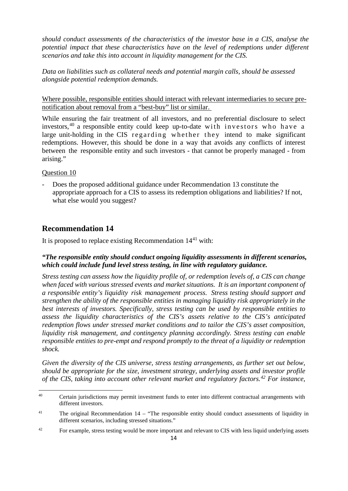*should conduct assessments of the characteristics of the investor base in a CIS, analyse the potential impact that these characteristics have on the level of redemptions under different scenarios and take this into account in liquidity management for the CIS.* 

*Data on liabilities such as collateral needs and potential margin calls, should be assessed alongside potential redemption demands.*

Where possible, responsible entities should interact with relevant intermediaries to secure prenotification about removal from a "best-buy" list or similar.

While ensuring the fair treatment of all investors, and no preferential disclosure to select investors, [40](#page-19-0) a responsible entity could keep up-to-date with investors who have a large unit-holding in the CIS regarding whether they intend to make significant redemptions. However, this should be done in a way that avoids any conflicts of interest between the responsible entity and such investors - that cannot be properly managed - from arising."

Question 10

- Does the proposed additional guidance under Recommendation 13 constitute the appropriate approach for a CIS to assess its redemption obligations and liabilities? If not, what else would you suggest?

### **Recommendation 14**

It is proposed to replace existing Recommendation  $14<sup>41</sup>$  $14<sup>41</sup>$  $14<sup>41</sup>$  with:

### *"The responsible entity should conduct ongoing liquidity assessments in different scenarios, which could include fund level stress testing, in line with regulatory guidance.*

*Stress testing can assess how the liquidity profile of, or redemption levels of, a CIS can change when faced with various stressed events and market situations. It is an important component of a responsible entity's liquidity risk management process. Stress testing should support and strengthen the ability of the responsible entities in managing liquidity risk appropriately in the best interests of investors. Specifically, stress testing can be used by responsible entities to assess the liquidity characteristics of the CIS's assets relative to the CIS's anticipated redemption flows under stressed market conditions and to tailor the CIS's asset composition, liquidity risk management, and contingency planning accordingly. Stress testing can enable responsible entities to pre-empt and respond promptly to the threat of a liquidity or redemption shock.*

*Given the diversity of the CIS universe, stress testing arrangements, as further set out below, should be appropriate for the size, investment strategy, underlying assets and investor profile of the CIS, taking into account other relevant market and regulatory factors.[42](#page-19-2) For instance,*

<span id="page-19-0"></span> $\Delta$ 0 Certain jurisdictions may permit investment funds to enter into different contractual arrangements with different investors.

<span id="page-19-1"></span><sup>&</sup>lt;sup>41</sup> The original Recommendation  $14 -$  "The responsible entity should conduct assessments of liquidity in different scenarios, including stressed situations."

<span id="page-19-2"></span><sup>&</sup>lt;sup>42</sup> For example, stress testing would be more important and relevant to CIS with less liquid underlying assets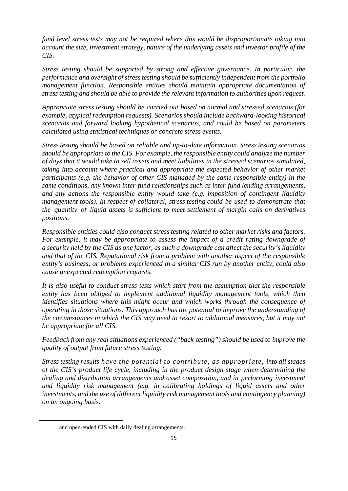*fund level stress tests may not be required where this would be disproportionate taking into account the size, investment strategy, nature of the underlying assets and investor profile of the CIS.*

*Stress testing should be supported by strong and effective governance. In particular, the performance and oversight of stress testing should be sufficiently independent from the portfolio management function. Responsible entities should maintain appropriate documentation of stress testing and should be able to provide the relevant information to authorities upon request.*

*Appropriate stress testing should be carried out based on normal and stressed scenarios (for example, atypical redemption requests). Scenarios should include backward-looking historical scenarios and forward looking hypothetical scenarios, and could be based on parameters calculated using statistical techniques or concrete stress events.* 

*Stress testing should be based on reliable and up-to-date information. Stress testing scenarios should be appropriate to the CIS. For example, the responsible entity could analyze the number of days that it would take to sell assets and meet liabilities in the stressed scenarios simulated, taking into account where practical and appropriate the expected behavior of other market participants (e.g. the behavior of other CIS managed by the same responsible entity) in the same conditions, any known inter-fund relationships such as inter-fund lending arrangements, and any actions the responsible entity would take (e.g. imposition of contingent liquidity management tools). In respect of collateral, stress testing could be used to demonstrate that the quantity of liquid assets is sufficient to meet settlement of margin calls on derivatives positions.*

*Responsible entities could also conduct stress testing related to other market risks and factors. For example, it may be appropriate to assess the impact of a credit rating downgrade of a security held by the CIS as one factor, as such a downgrade can affect the security's liquidity and that of the CIS. Reputational risk from a problem with another aspect of the responsible entity's business, or problems experienced in a similar CIS run by another entity, could also cause unexpected redemption requests.*

*It is also useful to conduct stress tests which start from the assumption that the responsible entity has been obliged to implement additional liquidity management tools, which then identifies situations where this might occur and which works through the consequence of operating in those situations. This approach has the potential to improve the understanding of the circumstances in which the CIS may need to resort to additional measures, but it may not be appropriate for all CIS.* 

*Feedback from any real situations experienced ("back-testing") should be used to improve the quality of output from future stress testing.*

*Stress testing results have the potential to contribute, as appropriate, into all stages of the CIS's product life cycle, including in the product design stage when determining the dealing and distribution arrangements and asset composition, and in performing investment and liquidity risk management (e.g. in calibrating holdings of liquid assets and other investments, and the use of different liquidity risk management tools and contingency planning) on an ongoing basis.*

 $\overline{a}$ 

and open-ended CIS with daily dealing arrangements.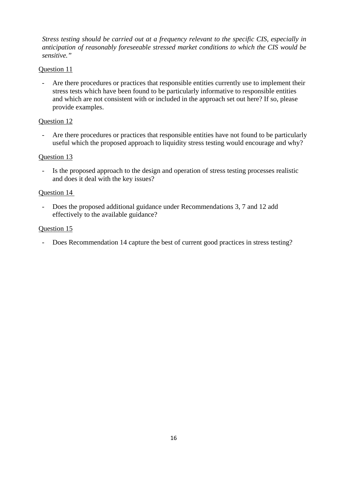*Stress testing should be carried out at a frequency relevant to the specific CIS, especially in anticipation of reasonably foreseeable stressed market conditions to which the CIS would be sensitive."*

### Question 11

Are there procedures or practices that responsible entities currently use to implement their stress tests which have been found to be particularly informative to responsible entities and which are not consistent with or included in the approach set out here? If so, please provide examples.

### Question 12

- Are there procedures or practices that responsible entities have not found to be particularly useful which the proposed approach to liquidity stress testing would encourage and why?

### Question 13

- Is the proposed approach to the design and operation of stress testing processes realistic and does it deal with the key issues?

### Question 14

- Does the proposed additional guidance under Recommendations 3, 7 and 12 add effectively to the available guidance?

### Question 15

- Does Recommendation 14 capture the best of current good practices in stress testing?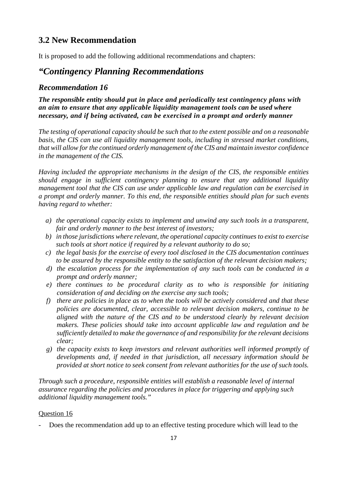### **3.2 New Recommendation**

It is proposed to add the following additional recommendations and chapters:

# *"Contingency Planning Recommendations*

### *Recommendation 16*

*The responsible entity should put in place and periodically test contingency plans with an aim to ensure that any applicable liquidity management tools can be used where necessary, and if being activated, can be exercised in a prompt and orderly manner*

*The testing of operational capacity should be such that to the extent possible and on a reasonable basis, the CIS can use all liquidity management tools, including in stressed market conditions, that will allow for the continued orderly management of the CIS and maintain investor confidence in the management of the CIS.* 

*Having included the appropriate mechanisms in the design of the CIS, the responsible entities should engage in sufficient contingency planning to ensure that any additional liquidity management tool that the CIS can use under applicable law and regulation can be exercised in a prompt and orderly manner. To this end, the responsible entities should plan for such events having regard to whether:* 

- *a) the operational capacity exists to implement and unwind any such tools in a transparent, fair and orderly manner to the best interest of investors;*
- *b) in those jurisdictions where relevant, the operational capacity continues to exist to exercise such tools at short notice if required by a relevant authority to do so;*
- *c) the legal basis for the exercise of every tool disclosed in the CIS documentation continues to be assured by the responsible entity to the satisfaction of the relevant decision makers;*
- *d) the escalation process for the implementation of any such tools can be conducted in a prompt and orderly manner;*
- *e) there continues to be procedural clarity as to who is responsible for initiating consideration of and deciding on the exercise any such tools;*
- *f) there are policies in place as to when the tools will be actively considered and that these policies are documented, clear, accessible to relevant decision makers, continue to be aligned with the nature of the CIS and to be understood clearly by relevant decision makers. These policies should take into account applicable law and regulation and be sufficiently detailed to make the governance of and responsibility for the relevant decisions clear;*
- *g) the capacity exists to keep investors and relevant authorities well informed promptly of developments and, if needed in that jurisdiction, all necessary information should be provided at short notice to seek consent from relevant authorities for the use of such tools.*

*Through such a procedure, responsible entities will establish a reasonable level of internal assurance regarding the policies and procedures in place for triggering and applying such additional liquidity management tools."*

### Question 16

- Does the recommendation add up to an effective testing procedure which will lead to the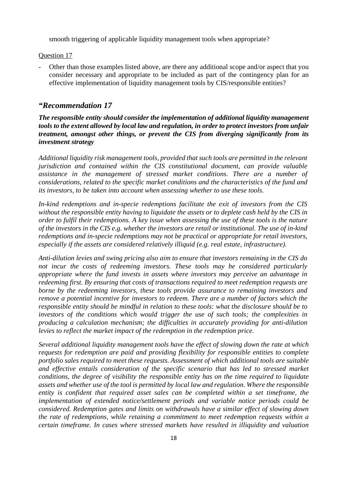smooth triggering of applicable liquidity management tools when appropriate?

#### Question 17

- Other than those examples listed above, are there any additional scope and/or aspect that you consider necessary and appropriate to be included as part of the contingency plan for an effective implementation of liquidity management tools by CIS/responsible entities?

### *"Recommendation 17*

*The responsible entity should consider the implementation of additional liquidity management tools to the extent allowed by local law and regulation, in order to protect investors from unfair treatment, amongst other things, or prevent the CIS from diverging significantly from its investment strategy* 

*Additional liquidity risk management tools, provided that such tools are permitted in the relevant jurisdiction and contained within the CIS constitutional document, can provide valuable assistance in the management of stressed market conditions. There are a number of considerations, related to the specific market conditions and the characteristics of the fund and its investors, to be taken into account when assessing whether to use these tools.* 

*In-kind redemptions and in-specie redemptions facilitate the exit of investors from the CIS without the responsible entity having to liquidate the assets or to deplete cash held by the CIS in order to fulfil their redemptions. A key issue when assessing the use of these tools is the nature of the investors in the CIS e.g. whether the investors are retail or institutional. The use of in-kind redemptions and in-specie redemptions may not be practical or appropriate for retail investors, especially if the assets are considered relatively illiquid (e.g. real estate, infrastructure).*

*Anti-dilution levies and swing pricing also aim to ensure that investors remaining in the CIS do not incur the costs of redeeming investors. These tools may be considered particularly appropriate where the fund invests in assets where investors may perceive an advantage in redeeming first. By ensuring that costs of transactions required to meet redemption requests are borne by the redeeming investors, these tools provide assurance to remaining investors and remove a potential incentive for investors to redeem. There are a number of factors which the responsible entity should be mindful in relation to these tools: what the disclosure should be to investors of the conditions which would trigger the use of such tools; the complexities in producing a calculation mechanism; the difficulties in accurately providing for anti-dilution levies to reflect the market impact of the redemption in the redemption price.*

*Several additional liquidity management tools have the effect of slowing down the rate at which requests for redemption are paid and providing flexibility for responsible entities to complete portfolio sales required to meet these requests. Assessment of which additional tools are suitable and effective entails consideration of the specific scenario that has led to stressed market conditions, the degree of visibility the responsible entity has on the time required to liquidate assets and whether use of the tool is permitted by local law and regulation. Where the responsible entity is confident that required asset sales can be completed within a set timeframe, the implementation of extended notice/settlement periods and variable notice periods could be considered. Redemption gates and limits on withdrawals have a similar effect of slowing down the rate of redemptions, while retaining a commitment to meet redemption requests within a certain timeframe. In cases where stressed markets have resulted in illiquidity and valuation*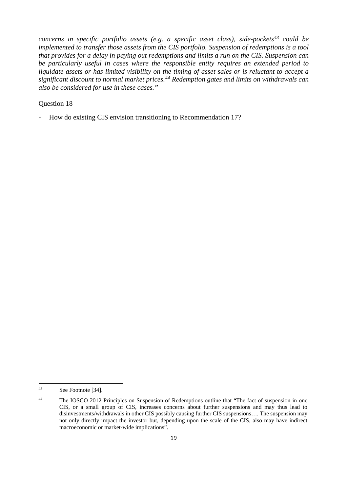*concerns in specific portfolio assets (e.g. a specific asset class), side-pockets[43](#page-24-0) could be implemented to transfer those assets from the CIS portfolio. Suspension of redemptions is a tool that provides for a delay in paying out redemptions and limits a run on the CIS. Suspension can be particularly useful in cases where the responsible entity requires an extended period to liquidate assets or has limited visibility on the timing of asset sales or is reluctant to accept a significant discount to normal market prices.[44](#page-24-1) Redemption gates and limits on withdrawals can also be considered for use in these cases."*

#### Question 18

How do existing CIS envision transitioning to Recommendation 17?

<span id="page-24-0"></span> $\overline{43}$ See Footnote [34].

<span id="page-24-1"></span><sup>44</sup> The IOSCO 2012 Principles on Suspension of Redemptions outline that "The fact of suspension in one CIS, or a small group of CIS, increases concerns about further suspensions and may thus lead to disinvestments/withdrawals in other CIS possibly causing further CIS suspensions…. The suspension may not only directly impact the investor but, depending upon the scale of the CIS, also may have indirect macroeconomic or market-wide implications".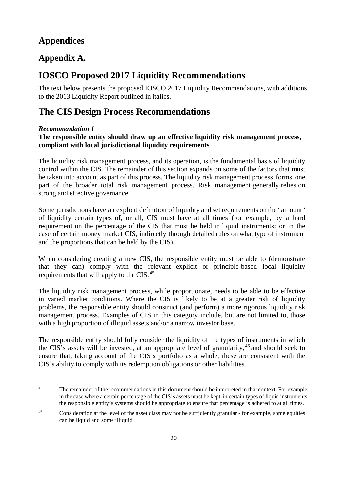# **Appendices**

# **Appendix A.**

# **IOSCO Proposed 2017 Liquidity Recommendations**

The text below presents the proposed IOSCO 2017 Liquidity Recommendations, with additions to the 2013 Liquidity Report outlined in italics.

# **The CIS Design Process Recommendations**

### *Recommendation 1*

### **The responsible entity should draw up an effective liquidity risk management process, compliant with local jurisdictional liquidity requirements**

The liquidity risk management process, and its operation, is the fundamental basis of liquidity control within the CIS. The remainder of this section expands on some of the factors that must be taken into account as part of this process. The liquidity risk management process forms one part of the broader total risk management process. Risk management generally relies on strong and effective governance.

Some jurisdictions have an explicit definition of liquidity and set requirements on the "amount" of liquidity certain types of, or all, CIS must have at all times (for example, by a hard requirement on the percentage of the CIS that must be held in liquid instruments; or in the case of certain money market CIS, indirectly through detailed rules on what type of instrument and the proportions that can be held by the CIS).

When considering creating a new CIS, the responsible entity must be able to (demonstrate that they can) comply with the relevant explicit or principle-based local liquidity requirements that will apply to the CIS.<sup>[45](#page-25-0)</sup>

The liquidity risk management process, while proportionate, needs to be able to be effective in varied market conditions. Where the CIS is likely to be at a greater risk of liquidity problems, the responsible entity should construct (and perform) a more rigorous liquidity risk management process. Examples of CIS in this category include, but are not limited to, those with a high proportion of illiquid assets and/or a narrow investor base.

The responsible entity should fully consider the liquidity of the types of instruments in which the CIS's assets will be invested, at an appropriate level of granularity, [46](#page-25-1) and should seek to ensure that, taking account of the CIS's portfolio as a whole, these are consistent with the CIS's ability to comply with its redemption obligations or other liabilities.

<span id="page-25-0"></span><sup>&</sup>lt;sup>45</sup> The remainder of the recommendations in this document should be interpreted in that context. For example, in the case where a certain percentage of the CIS's assets must be kept in certain types of liquid instruments, the responsible entity's systems should be appropriate to ensure that percentage is adhered to at all times.

<span id="page-25-1"></span><sup>&</sup>lt;sup>46</sup> Consideration at the level of the asset class may not be sufficiently granular - for example, some equities can be liquid and some illiquid.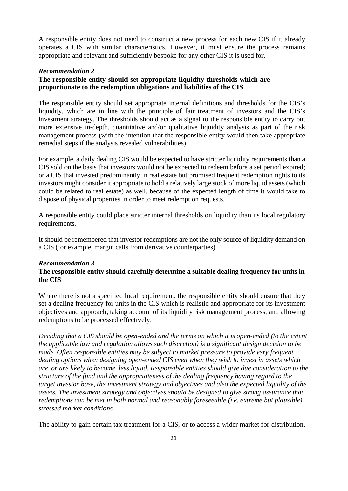A responsible entity does not need to construct a new process for each new CIS if it already operates a CIS with similar characteristics. However, it must ensure the process remains appropriate and relevant and sufficiently bespoke for any other CIS it is used for.

#### *Recommendation 2*

### **The responsible entity should set appropriate liquidity thresholds which are proportionate to the redemption obligations and liabilities of the CIS**

The responsible entity should set appropriate internal definitions and thresholds for the CIS's liquidity, which are in line with the principle of fair treatment of investors and the CIS's investment strategy. The thresholds should act as a signal to the responsible entity to carry out more extensive in-depth, quantitative and/or qualitative liquidity analysis as part of the risk management process (with the intention that the responsible entity would then take appropriate remedial steps if the analysis revealed vulnerabilities).

For example, a daily dealing CIS would be expected to have stricter liquidity requirements than a CIS sold on the basis that investors would not be expected to redeem before a set period expired; or a CIS that invested predominantly in real estate but promised frequent redemption rights to its investors might consider it appropriate to hold a relatively large stock of more liquid assets (which could be related to real estate) as well, because of the expected length of time it would take to dispose of physical properties in order to meet redemption requests.

A responsible entity could place stricter internal thresholds on liquidity than its local regulatory requirements.

It should be remembered that investor redemptions are not the only source of liquidity demand on a CIS (for example, margin calls from derivative counterparties).

### *Recommendation 3* **The responsible entity should carefully determine a suitable dealing frequency for units in the CIS**

Where there is not a specified local requirement, the responsible entity should ensure that they set a dealing frequency for units in the CIS which is realistic and appropriate for its investment objectives and approach, taking account of its liquidity risk management process, and allowing redemptions to be processed effectively.

*Deciding that a CIS should be open-ended and the terms on which it is open-ended (to the extent the applicable law and regulation allows such discretion) is a significant design decision to be made. Often responsible entities may be subject to market pressure to provide very frequent dealing options when designing open-ended CIS even when they wish to invest in assets which are, or are likely to become, less liquid. Responsible entities should give due consideration to the structure of the fund and the appropriateness of the dealing frequency having regard to the target investor base, the investment strategy and objectives and also the expected liquidity of the assets. The investment strategy and objectives should be designed to give strong assurance that redemptions can be met in both normal and reasonably foreseeable (i.e. extreme but plausible) stressed market conditions.*

The ability to gain certain tax treatment for a CIS, or to access a wider market for distribution,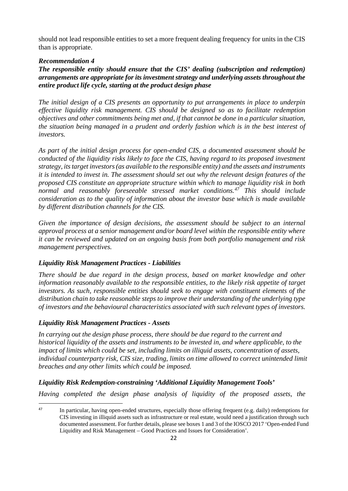should not lead responsible entities to set a more frequent dealing frequency for units in the CIS than is appropriate.

### *Recommendation 4*

*The responsible entity should ensure that the CIS' dealing (subscription and redemption) arrangements are appropriate for its investment strategy and underlying assets throughout the entire product life cycle, starting at the product design phase* 

*The initial design of a CIS presents an opportunity to put arrangements in place to underpin effective liquidity risk management. CIS should be designed so as to facilitate redemption objectives and other commitments being met and, if that cannot be done in a particular situation, the situation being managed in a prudent and orderly fashion which is in the best interest of investors.*

*As part of the initial design process for open-ended CIS, a documented assessment should be conducted of the liquidity risks likely to face the CIS, having regard to its proposed investment strategy, its target investors (as available to the responsible entity) and the assets and instruments it is intended to invest in. The assessment should set out why the relevant design features of the proposed CIS constitute an appropriate structure within which to manage liquidity risk in both normal and reasonably foreseeable stressed market conditions.[47](#page-27-0) This should include consideration as to the quality of information about the investor base which is made available by different distribution channels for the CIS.*

*Given the importance of design decisions, the assessment should be subject to an internal approval process at a senior management and/or board level within the responsible entity where it can be reviewed and updated on an ongoing basis from both portfolio management and risk management perspectives.* 

### *Liquidity Risk Management Practices - Liabilities*

*There should be due regard in the design process, based on market knowledge and other information reasonably available to the responsible entities, to the likely risk appetite of target investors. As such, responsible entities should seek to engage with constituent elements of the distribution chain to take reasonable steps to improve their understanding of the underlying type of investors and the behavioural characteristics associated with such relevant types of investors.* 

### *Liquidity Risk Management Practices - Assets*

*In carrying out the design phase process, there should be due regard to the current and historical liquidity of the assets and instruments to be invested in, and where applicable, to the impact of limits which could be set, including limits on illiquid assets, concentration of assets, individual counterparty risk, CIS size, trading, limits on time allowed to correct unintended limit breaches and any other limits which could be imposed.* 

### *Liquidity Risk Redemption-constraining 'Additional Liquidity Management Tools'*

*Having completed the design phase analysis of liquidity of the proposed assets, the* 

<span id="page-27-0"></span><sup>&</sup>lt;sup>47</sup> In particular, having open-ended structures, especially those offering frequent (e.g. daily) redemptions for CIS investing in illiquid assets such as infrastructure or real estate, would need a justification through such documented assessment. For further details, please see boxes 1 and 3 of the IOSCO 2017 'Open-ended Fund Liquidity and Risk Management – Good Practices and Issues for Consideration'.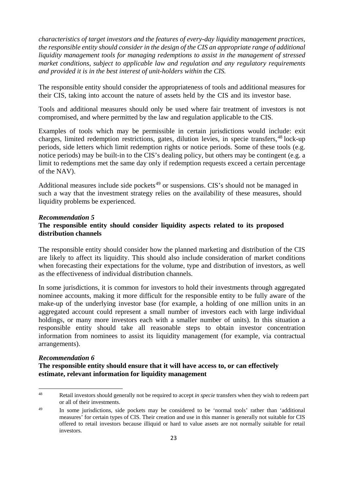*characteristics of target investors and the features of every-day liquidity management practices, the responsible entity should consider in the design of the CIS an appropriate range of additional liquidity management tools for managing redemptions to assist in the management of stressed market conditions, subject to applicable law and regulation and any regulatory requirements and provided it is in the best interest of unit-holders within the CIS.* 

The responsible entity should consider the appropriateness of tools and additional measures for their CIS, taking into account the nature of assets held by the CIS and its investor base.

Tools and additional measures should only be used where fair treatment of investors is not compromised, and where permitted by the law and regulation applicable to the CIS.

Examples of tools which may be permissible in certain jurisdictions would include: exit charges, limited redemption restrictions, gates, dilution levies, in specie transfers, [48](#page-28-0) lock-up periods, side letters which limit redemption rights or notice periods. Some of these tools (e.g. notice periods) may be built-in to the CIS's dealing policy, but others may be contingent (e.g. a limit to redemptions met the same day only if redemption requests exceed a certain percentage of the NAV).

Additional measures include side pockets<sup>[49](#page-28-1)</sup> or suspensions. CIS's should not be managed in such a way that the investment strategy relies on the availability of these measures, should liquidity problems be experienced.

#### *Recommendation 5* **The responsible entity should consider liquidity aspects related to its proposed distribution channels**

The responsible entity should consider how the planned marketing and distribution of the CIS are likely to affect its liquidity. This should also include consideration of market conditions when forecasting their expectations for the volume, type and distribution of investors, as well as the effectiveness of individual distribution channels.

In some jurisdictions, it is common for investors to hold their investments through aggregated nominee accounts, making it more difficult for the responsible entity to be fully aware of the make-up of the underlying investor base (for example, a holding of one million units in an aggregated account could represent a small number of investors each with large individual holdings, or many more investors each with a smaller number of units). In this situation a responsible entity should take all reasonable steps to obtain investor concentration information from nominees to assist its liquidity management (for example, via contractual arrangements).

#### *Recommendation 6*

**.** 

**The responsible entity should ensure that it will have access to, or can effectively estimate, relevant information for liquidity management**

<span id="page-28-0"></span><sup>48</sup> Retail investors should generally not be required to accept *in specie* transfers when they wish to redeem part or all of their investments.

<span id="page-28-1"></span><sup>&</sup>lt;sup>49</sup> In some jurisdictions, side pockets may be considered to be 'normal tools' rather than 'additional measures' for certain types of CIS. Their creation and use in this manner is generally not suitable for CIS offered to retail investors because illiquid or hard to value assets are not normally suitable for retail investors.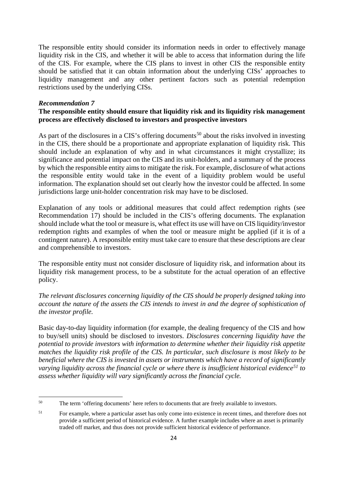The responsible entity should consider its information needs in order to effectively manage liquidity risk in the CIS, and whether it will be able to access that information during the life of the CIS. For example, where the CIS plans to invest in other CIS the responsible entity should be satisfied that it can obtain information about the underlying CISs' approaches to liquidity management and any other pertinent factors such as potential redemption restrictions used by the underlying CISs.

#### *Recommendation 7*

 $\overline{a}$ 

### **The responsible entity should ensure that liquidity risk and its liquidity risk management process are effectively disclosed to investors and prospective investors**

As part of the disclosures in a CIS's offering documents<sup>[50](#page-29-0)</sup> about the risks involved in investing in the CIS, there should be a proportionate and appropriate explanation of liquidity risk. This should include an explanation of why and in what circumstances it might crystallize; its significance and potential impact on the CIS and its unit-holders, and a summary of the process by which the responsible entity aims to mitigate the risk. For example, disclosure of what actions the responsible entity would take in the event of a liquidity problem would be useful information. The explanation should set out clearly how the investor could be affected. In some jurisdictions large unit-holder concentration risk may have to be disclosed.

Explanation of any tools or additional measures that could affect redemption rights (see Recommendation 17) should be included in the CIS's offering documents. The explanation should include what the tool or measure is, what effect its use will have on CIS liquidity/investor redemption rights and examples of when the tool or measure might be applied (if it is of a contingent nature). A responsible entity must take care to ensure that these descriptions are clear and comprehensible to investors.

The responsible entity must not consider disclosure of liquidity risk, and information about its liquidity risk management process, to be a substitute for the actual operation of an effective policy.

*The relevant disclosures concerning liquidity of the CIS should be properly designed taking into account the nature of the assets the CIS intends to invest in and the degree of sophistication of the investor profile.* 

Basic day-to-day liquidity information (for example, the dealing frequency of the CIS and how to buy/sell units) should be disclosed to investors. *Disclosures concerning liquidity have the potential to provide investors with information to determine whether their liquidity risk appetite matches the liquidity risk profile of the CIS. In particular, such disclosure is most likely to be beneficial where the CIS is invested in assets or instruments which have a record of significantly varying liquidity across the financial cycle or where there is insufficient historical evidence[51](#page-29-1) to assess whether liquidity will vary significantly across the financial cycle.*

<span id="page-29-0"></span><sup>&</sup>lt;sup>50</sup> The term 'offering documents' here refers to documents that are freely available to investors.

<span id="page-29-1"></span><sup>&</sup>lt;sup>51</sup> For example, where a particular asset has only come into existence in recent times, and therefore does not provide a sufficient period of historical evidence. A further example includes where an asset is primarily traded off market, and thus does not provide sufficient historical evidence of performance.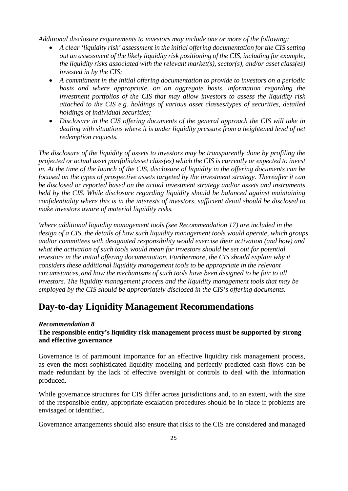*Additional disclosure requirements to investors may include one or more of the following:*

- *A clear 'liquidity risk' assessment in the initial offering documentation for the CIS setting out an assessment of the likely liquidity risk positioning of the CIS, including for example, the liquidity risks associated with the relevant market(s), sector(s), and/or asset class(es) invested in by the CIS;*
- *A commitment in the initial offering documentation to provide to investors on a periodic basis and where appropriate, on an aggregate basis, information regarding the investment portfolios of the CIS that may allow investors to assess the liquidity risk attached to the CIS e.g. holdings of various asset classes/types of securities, detailed holdings of individual securities;*
- *Disclosure in the CIS offering documents of the general approach the CIS will take in dealing with situations where it is under liquidity pressure from a heightened level of net redemption requests.*

*The disclosure of the liquidity of assets to investors may be transparently done by profiling the projected or actual asset portfolio/asset class(es) which the CIS is currently or expected to invest in. At the time of the launch of the CIS, disclosure of liquidity in the offering documents can be focused on the types of prospective assets targeted by the investment strategy. Thereafter it can be disclosed or reported based on the actual investment strategy and/or assets and instruments held by the CIS. While disclosure regarding liquidity should be balanced against maintaining confidentiality where this is in the interests of investors, sufficient detail should be disclosed to make investors aware of material liquidity risks.* 

*Where additional liquidity management tools (see Recommendation 17) are included in the design of a CIS, the details of how such liquidity management tools would operate, which groups and/or committees with designated responsibility would exercise their activation (and how) and what the activation of such tools would mean for investors should be set out for potential investors in the initial offering documentation. Furthermore, the CIS should explain why it considers these additional liquidity management tools to be appropriate in the relevant circumstances, and how the mechanisms of such tools have been designed to be fair to all investors. The liquidity management process and the liquidity management tools that may be employed by the CIS should be appropriately disclosed in the CIS's offering documents.* 

### **Day-to-day Liquidity Management Recommendations**

### *Recommendation 8*

### **The responsible entity's liquidity risk management process must be supported by strong and effective governance**

Governance is of paramount importance for an effective liquidity risk management process, as even the most sophisticated liquidity modeling and perfectly predicted cash flows can be made redundant by the lack of effective oversight or controls to deal with the information produced.

While governance structures for CIS differ across jurisdictions and, to an extent, with the size of the responsible entity, appropriate escalation procedures should be in place if problems are envisaged or identified.

Governance arrangements should also ensure that risks to the CIS are considered and managed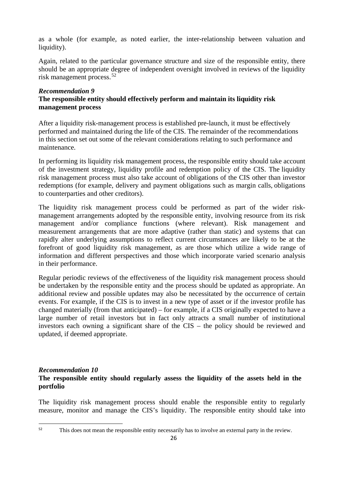as a whole (for example, as noted earlier, the inter-relationship between valuation and liquidity).

Again, related to the particular governance structure and size of the responsible entity, there should be an appropriate degree of independent oversight involved in reviews of the liquidity risk management process. [52](#page-31-0)

### *Recommendation 9* **The responsible entity should effectively perform and maintain its liquidity risk management process**

After a liquidity risk-management process is established pre-launch, it must be effectively performed and maintained during the life of the CIS. The remainder of the recommendations in this section set out some of the relevant considerations relating to such performance and maintenance.

In performing its liquidity risk management process, the responsible entity should take account of the investment strategy, liquidity profile and redemption policy of the CIS. The liquidity risk management process must also take account of obligations of the CIS other than investor redemptions (for example, delivery and payment obligations such as margin calls, obligations to counterparties and other creditors).

The liquidity risk management process could be performed as part of the wider riskmanagement arrangements adopted by the responsible entity, involving resource from its risk management and/or compliance functions (where relevant). Risk management and measurement arrangements that are more adaptive (rather than static) and systems that can rapidly alter underlying assumptions to reflect current circumstances are likely to be at the forefront of good liquidity risk management, as are those which utilize a wide range of information and different perspectives and those which incorporate varied scenario analysis in their performance.

Regular periodic reviews of the effectiveness of the liquidity risk management process should be undertaken by the responsible entity and the process should be updated as appropriate. An additional review and possible updates may also be necessitated by the occurrence of certain events. For example, if the CIS is to invest in a new type of asset or if the investor profile has changed materially (from that anticipated) – for example, if a CIS originally expected to have a large number of retail investors but in fact only attracts a small number of institutional investors each owning a significant share of the CIS – the policy should be reviewed and updated, if deemed appropriate.

### *Recommendation 10* **The responsible entity should regularly assess the liquidity of the assets held in the portfolio**

The liquidity risk management process should enable the responsible entity to regularly measure, monitor and manage the CIS's liquidity. The responsible entity should take into

<span id="page-31-0"></span><sup>&</sup>lt;sup>52</sup> This does not mean the responsible entity necessarily has to involve an external party in the review.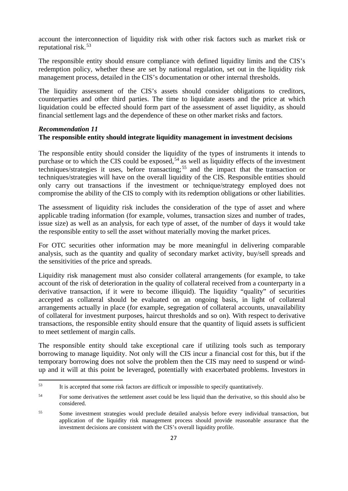account the interconnection of liquidity risk with other risk factors such as market risk or reputational risk. [53](#page-32-0)

The responsible entity should ensure compliance with defined liquidity limits and the CIS's redemption policy, whether these are set by national regulation, set out in the liquidity risk management process, detailed in the CIS's documentation or other internal thresholds.

The liquidity assessment of the CIS's assets should consider obligations to creditors, counterparties and other third parties. The time to liquidate assets and the price at which liquidation could be effected should form part of the assessment of asset liquidity, as should financial settlement lags and the dependence of these on other market risks and factors.

### *Recommendation 11* **The responsible entity should integrate liquidity management in investment decisions**

The responsible entity should consider the liquidity of the types of instruments it intends to purchase or to which the CIS could be exposed,<sup>[54](#page-32-1)</sup> as well as liquidity effects of the investment techniques/strategies it uses, before transacting; [55](#page-32-2) and the impact that the transaction or techniques/strategies will have on the overall liquidity of the CIS. Responsible entities should only carry out transactions if the investment or technique/strategy employed does not compromise the ability of the CIS to comply with its redemption obligations or other liabilities.

The assessment of liquidity risk includes the consideration of the type of asset and where applicable trading information (for example, volumes, transaction sizes and number of trades, issue size) as well as an analysis, for each type of asset, of the number of days it would take the responsible entity to sell the asset without materially moving the market prices.

For OTC securities other information may be more meaningful in delivering comparable analysis, such as the quantity and quality of secondary market activity, buy/sell spreads and the sensitivities of the price and spreads.

Liquidity risk management must also consider collateral arrangements (for example, to take account of the risk of deterioration in the quality of collateral received from a counterparty in a derivative transaction, if it were to become illiquid). The liquidity "quality" of securities accepted as collateral should be evaluated on an ongoing basis, in light of collateral arrangements actually in place (for example, segregation of collateral accounts, unavailability of collateral for investment purposes, haircut thresholds and so on). With respect to derivative transactions, the responsible entity should ensure that the quantity of liquid assets is sufficient to meet settlement of margin calls.

The responsible entity should take exceptional care if utilizing tools such as temporary borrowing to manage liquidity. Not only will the CIS incur a financial cost for this, but if the temporary borrowing does not solve the problem then the CIS may need to suspend or windup and it will at this point be leveraged, potentially with exacerbated problems. Investors in

<span id="page-32-0"></span><sup>53</sup> It is accepted that some risk factors are difficult or impossible to specify quantitatively.

<span id="page-32-1"></span><sup>&</sup>lt;sup>54</sup> For some derivatives the settlement asset could be less liquid than the derivative, so this should also be considered.

<span id="page-32-2"></span><sup>55</sup> Some investment strategies would preclude detailed analysis before every individual transaction, but application of the liquidity risk management process should provide reasonable assurance that the investment decisions are consistent with the CIS's overall liquidity profile.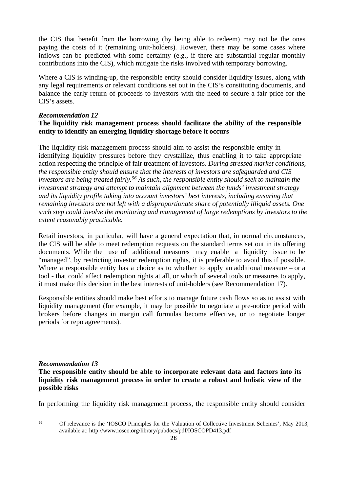the CIS that benefit from the borrowing (by being able to redeem) may not be the ones paying the costs of it (remaining unit-holders). However, there may be some cases where inflows can be predicted with some certainty (e.g., if there are substantial regular monthly contributions into the CIS), which mitigate the risks involved with temporary borrowing.

Where a CIS is winding-up, the responsible entity should consider liquidity issues, along with any legal requirements or relevant conditions set out in the CIS's constituting documents, and balance the early return of proceeds to investors with the need to secure a fair price for the CIS's assets.

### *Recommendation 12*

### **The liquidity risk management process should facilitate the ability of the responsible entity to identify an emerging liquidity shortage before it occurs**

The liquidity risk management process should aim to assist the responsible entity in identifying liquidity pressures before they crystallize, thus enabling it to take appropriate action respecting the principle of fair treatment of investors. *During stressed market conditions, the responsible entity should ensure that the interests of investors are safeguarded and CIS investors are being treated fairly.[56](#page-33-0) As such, the responsible entity should seek to maintain the investment strategy and attempt to maintain alignment between the funds' investment strategy and its liquidity profile taking into account investors' best interests, including ensuring that remaining investors are not left with a disproportionate share of potentially illiquid assets. One such step could involve the monitoring and management of large redemptions by investors to the extent reasonably practicable.*

Retail investors, in particular, will have a general expectation that, in normal circumstances, the CIS will be able to meet redemption requests on the standard terms set out in its offering documents. While the use of additional measures may enable a liquidity issue to be "managed", by restricting investor redemption rights, it is preferable to avoid this if possible. Where a responsible entity has a choice as to whether to apply an additional measure – or a tool - that could affect redemption rights at all, or which of several tools or measures to apply, it must make this decision in the best interests of unit-holders (see Recommendation 17).

Responsible entities should make best efforts to manage future cash flows so as to assist with liquidity management (for example, it may be possible to negotiate a pre-notice period with brokers before changes in margin call formulas become effective, or to negotiate longer periods for repo agreements).

### *Recommendation 13*

**The responsible entity should be able to incorporate relevant data and factors into its liquidity risk management process in order to create a robust and holistic view of the possible risks**

In performing the liquidity risk management process, the responsible entity should consider

<span id="page-33-0"></span> <sup>56</sup> Of relevance is the 'IOSCO Principles for the Valuation of Collective Investment Schemes', May 2013, available at: http://www.iosco.org/library/pubdocs/pdf/IOSCOPD413.pdf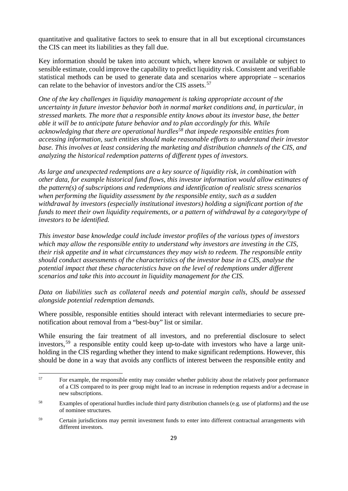quantitative and qualitative factors to seek to ensure that in all but exceptional circumstances the CIS can meet its liabilities as they fall due.

Key information should be taken into account which, where known or available or subject to sensible estimate, could improve the capability to predict liquidity risk. Consistent and verifiable statistical methods can be used to generate data and scenarios where appropriate – scenarios can relate to the behavior of investors and/or the CIS assets.<sup>[57](#page-34-0)</sup>

*One of the key challenges in liquidity management is taking appropriate account of the uncertainty in future investor behavior both in normal market conditions and, in particular, in stressed markets. The more that a responsible entity knows about its investor base, the better able it will be to anticipate future behavior and to plan accordingly for this. While acknowledging that there are operational hurdle[s58](#page-34-1) that impede responsible entities from accessing information, such entities should make reasonable efforts to understand their investor base. This involves at least considering the marketing and distribution channels of the CIS, and analyzing the historical redemption patterns of different types of investors.* 

*As large and unexpected redemptions are a key source of liquidity risk, in combination with other data, for example historical fund flows, this investor information would allow estimates of the pattern(s) of subscriptions and redemptions and identification of realistic stress scenarios when performing the liquidity assessment by the responsible entity, such as a sudden withdrawal by investors (especially institutional investors) holding a significant portion of the funds to meet their own liquidity requirements, or a pattern of withdrawal by a category/type of investors to be identified.*

*This investor base knowledge could include investor profiles of the various types of investors which may allow the responsible entity to understand why investors are investing in the CIS, their risk appetite and in what circumstances they may wish to redeem. The responsible entity should conduct assessments of the characteristics of the investor base in a CIS, analyse the potential impact that these characteristics have on the level of redemptions under different scenarios and take this into account in liquidity management for the CIS.* 

*Data on liabilities such as collateral needs and potential margin calls, should be assessed alongside potential redemption demands.*

Where possible, responsible entities should interact with relevant intermediaries to secure prenotification about removal from a "best-buy" list or similar.

While ensuring the fair treatment of all investors, and no preferential disclosure to select investors, [59](#page-34-2) a responsible entity could keep up-to-date with investors who have a large unitholding in the CIS regarding whether they intend to make significant redemptions. However, this should be done in a way that avoids any conflicts of interest between the responsible entity and

<span id="page-34-0"></span><sup>57</sup> <sup>57</sup> For example, the responsible entity may consider whether publicity about the relatively poor performance of a CIS compared to its peer group might lead to an increase in redemption requests and/or a decrease in new subscriptions.

<span id="page-34-1"></span><sup>58</sup> Examples of operational hurdles include third party distribution channels (e.g. use of platforms) and the use of nominee structures.

<span id="page-34-2"></span><sup>&</sup>lt;sup>59</sup> Certain jurisdictions may permit investment funds to enter into different contractual arrangements with different investors.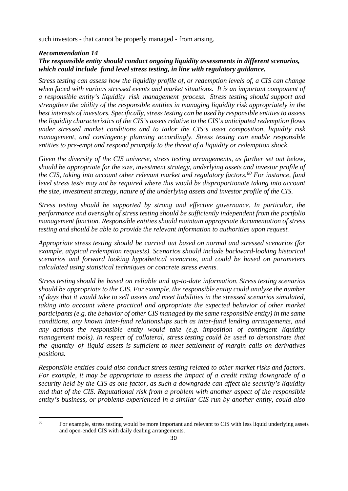such investors - that cannot be properly managed - from arising.

### *Recommendation 14 The responsible entity should conduct ongoing liquidity assessments in different scenarios, which could include fund level stress testing, in line with regulatory guidance.*

*Stress testing can assess how the liquidity profile of, or redemption levels of, a CIS can change when faced with various stressed events and market situations. It is an important component of a responsible entity's liquidity risk management process. Stress testing should support and strengthen the ability of the responsible entities in managing liquidity risk appropriately in the best interests of investors. Specifically, stress testing can be used by responsible entities to assess the liquidity characteristics of the CIS's assets relative to the CIS's anticipated redemption flows under stressed market conditions and to tailor the CIS's asset composition, liquidity risk management, and contingency planning accordingly. Stress testing can enable responsible entities to pre-empt and respond promptly to the threat of a liquidity or redemption shock.*

*Given the diversity of the CIS universe, stress testing arrangements, as further set out below, should be appropriate for the size, investment strategy, underlying assets and investor profile of the CIS, taking into account other relevant market and regulatory factors.[60](#page-35-0) For instance, fund level stress tests may not be required where this would be disproportionate taking into account the size, investment strategy, nature of the underlying assets and investor profile of the CIS.* 

*Stress testing should be supported by strong and effective governance. In particular, the performance and oversight of stress testing should be sufficiently independent from the portfolio management function. Responsible entities should maintain appropriate documentation of stress testing and should be able to provide the relevant information to authorities upon request.*

*Appropriate stress testing should be carried out based on normal and stressed scenarios (for example, atypical redemption requests). Scenarios should include backward-looking historical scenarios and forward looking hypothetical scenarios, and could be based on parameters calculated using statistical techniques or concrete stress events.* 

*Stress testing should be based on reliable and up-to-date information. Stress testing scenarios should be appropriate to the CIS. For example, the responsible entity could analyze the number of days that it would take to sell assets and meet liabilities in the stressed scenarios simulated, taking into account where practical and appropriate the expected behavior of other market participants (e.g. the behavior of other CIS managed by the same responsible entity) in the same conditions, any known inter-fund relationships such as inter-fund lending arrangements, and any actions the responsible entity would take (e.g. imposition of contingent liquidity management tools). In respect of collateral, stress testing could be used to demonstrate that the quantity of liquid assets is sufficient to meet settlement of margin calls on derivatives positions.*

*Responsible entities could also conduct stress testing related to other market risks and factors. For example, it may be appropriate to assess the impact of a credit rating downgrade of a security held by the CIS as one factor, as such a downgrade can affect the security's liquidity and that of the CIS. Reputational risk from a problem with another aspect of the responsible entity's business, or problems experienced in a similar CIS run by another entity, could also*

<span id="page-35-0"></span>**<sup>.</sup>** <sup>60</sup> For example, stress testing would be more important and relevant to CIS with less liquid underlying assets and open-ended CIS with daily dealing arrangements.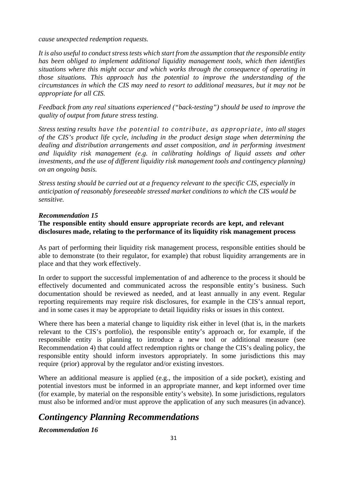*cause unexpected redemption requests.*

*It is also useful to conduct stress tests which start from the assumption that the responsible entity has been obliged to implement additional liquidity management tools, which then identifies situations where this might occur and which works through the consequence of operating in those situations. This approach has the potential to improve the understanding of the circumstances in which the CIS may need to resort to additional measures, but it may not be appropriate for all CIS.* 

*Feedback from any real situations experienced ("back-testing") should be used to improve the quality of output from future stress testing.*

*Stress testing results have the potential to contribute, as appropriate, into all stages of the CIS's product life cycle, including in the product design stage when determining the dealing and distribution arrangements and asset composition, and in performing investment and liquidity risk management (e.g. in calibrating holdings of liquid assets and other investments, and the use of different liquidity risk management tools and contingency planning) on an ongoing basis.*

*Stress testing should be carried out at a frequency relevant to the specific CIS, especially in anticipation of reasonably foreseeable stressed market conditions to which the CIS would be sensitive.*

### *Recommendation 15*

### **The responsible entity should ensure appropriate records are kept, and relevant disclosures made, relating to the performance of its liquidity risk management process**

As part of performing their liquidity risk management process, responsible entities should be able to demonstrate (to their regulator, for example) that robust liquidity arrangements are in place and that they work effectively.

In order to support the successful implementation of and adherence to the process it should be effectively documented and communicated across the responsible entity's business. Such documentation should be reviewed as needed, and at least annually in any event. Regular reporting requirements may require risk disclosures, for example in the CIS's annual report, and in some cases it may be appropriate to detail liquidity risks or issues in this context.

Where there has been a material change to liquidity risk either in level (that is, in the markets relevant to the CIS's portfolio), the responsible entity's approach or, for example, if the responsible entity is planning to introduce a new tool or additional measure (see Recommendation 4) that could affect redemption rights or change the CIS's dealing policy, the responsible entity should inform investors appropriately. In some jurisdictions this may require (prior) approval by the regulator and/or existing investors.

Where an additional measure is applied (e.g., the imposition of a side pocket), existing and potential investors must be informed in an appropriate manner, and kept informed over time (for example, by material on the responsible entity's website). In some jurisdictions, regulators must also be informed and/or must approve the application of any such measures (in advance).

### *Contingency Planning Recommendations*

*Recommendation 16*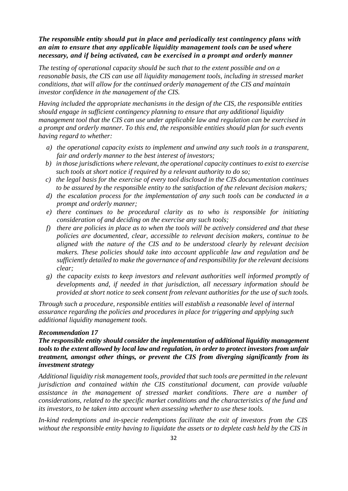### *The responsible entity should put in place and periodically test contingency plans with an aim to ensure that any applicable liquidity management tools can be used where necessary, and if being activated, can be exercised in a prompt and orderly manner*

*The testing of operational capacity should be such that to the extent possible and on a reasonable basis, the CIS can use all liquidity management tools, including in stressed market conditions, that will allow for the continued orderly management of the CIS and maintain investor confidence in the management of the CIS.* 

*Having included the appropriate mechanisms in the design of the CIS, the responsible entities should engage in sufficient contingency planning to ensure that any additional liquidity management tool that the CIS can use under applicable law and regulation can be exercised in a prompt and orderly manner. To this end, the responsible entities should plan for such events having regard to whether:* 

- *a) the operational capacity exists to implement and unwind any such tools in a transparent, fair and orderly manner to the best interest of investors;*
- *b) in those jurisdictions where relevant, the operational capacity continues to exist to exercise such tools at short notice if required by a relevant authority to do so;*
- *c) the legal basis for the exercise of every tool disclosed in the CIS documentation continues to be assured by the responsible entity to the satisfaction of the relevant decision makers;*
- *d) the escalation process for the implementation of any such tools can be conducted in a prompt and orderly manner;*
- *e) there continues to be procedural clarity as to who is responsible for initiating consideration of and deciding on the exercise any such tools;*
- *f) there are policies in place as to when the tools will be actively considered and that these policies are documented, clear, accessible to relevant decision makers, continue to be aligned with the nature of the CIS and to be understood clearly by relevant decision makers. These policies should take into account applicable law and regulation and be sufficiently detailed to make the governance of and responsibility for the relevant decisions clear;*
- *g) the capacity exists to keep investors and relevant authorities well informed promptly of developments and, if needed in that jurisdiction, all necessary information should be provided at short notice to seek consent from relevant authorities for the use of such tools.*

*Through such a procedure, responsible entities will establish a reasonable level of internal assurance regarding the policies and procedures in place for triggering and applying such additional liquidity management tools.*

### *Recommendation 17*

*The responsible entity should consider the implementation of additional liquidity management tools to the extent allowed by local law and regulation, in order to protect investors from unfair treatment, amongst other things, or prevent the CIS from diverging significantly from its investment strategy* 

*Additional liquidity risk management tools, provided that such tools are permitted in the relevant jurisdiction and contained within the CIS constitutional document, can provide valuable assistance in the management of stressed market conditions. There are a number of considerations, related to the specific market conditions and the characteristics of the fund and its investors, to be taken into account when assessing whether to use these tools.* 

*In-kind redemptions and in-specie redemptions facilitate the exit of investors from the CIS without the responsible entity having to liquidate the assets or to deplete cash held by the CIS in*